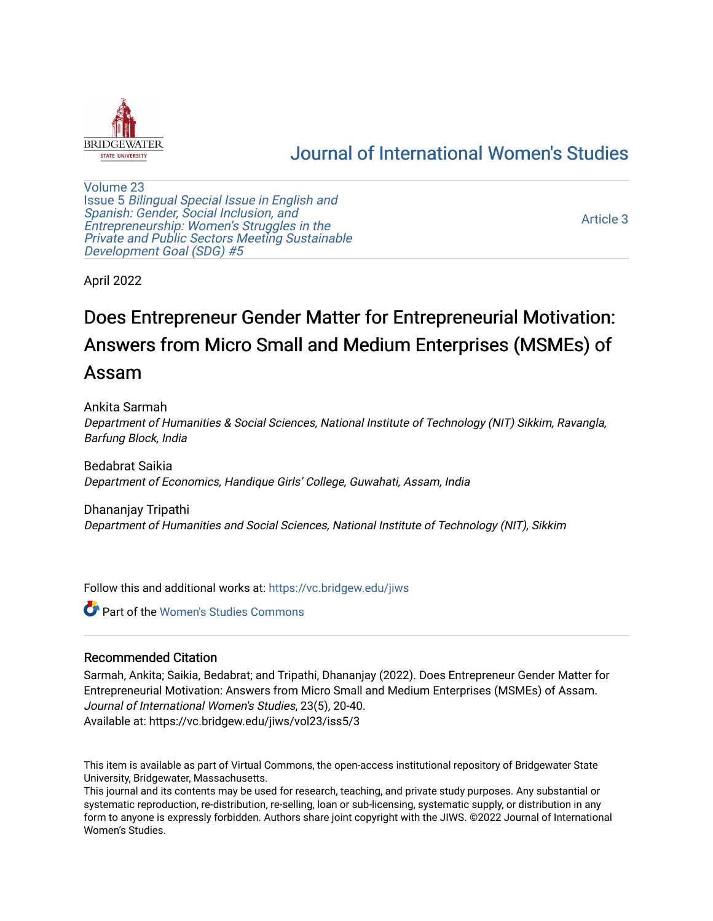

# [Journal of International Women's Studies](https://vc.bridgew.edu/jiws)

[Volume 23](https://vc.bridgew.edu/jiws/vol23) Issue 5 [Bilingual Special Issue in English and](https://vc.bridgew.edu/jiws/vol23/iss5)  [Spanish: Gender, Social Inclusion, and](https://vc.bridgew.edu/jiws/vol23/iss5)  [Entrepreneurship: Women's Struggles in the](https://vc.bridgew.edu/jiws/vol23/iss5)  [Private and Public Sectors Meeting Sustainable](https://vc.bridgew.edu/jiws/vol23/iss5) [Development Goal \(SDG\) #5](https://vc.bridgew.edu/jiws/vol23/iss5) 

[Article 3](https://vc.bridgew.edu/jiws/vol23/iss5/3) 

April 2022

# Does Entrepreneur Gender Matter for Entrepreneurial Motivation: Answers from Micro Small and Medium Enterprises (MSMEs) of Assam

Ankita Sarmah Department of Humanities & Social Sciences, National Institute of Technology (NIT) Sikkim, Ravangla, Barfung Block, India

Bedabrat Saikia Department of Economics, Handique Girls' College, Guwahati, Assam, India

Dhananjay Tripathi Department of Humanities and Social Sciences, National Institute of Technology (NIT), Sikkim

Follow this and additional works at: [https://vc.bridgew.edu/jiws](https://vc.bridgew.edu/jiws?utm_source=vc.bridgew.edu%2Fjiws%2Fvol23%2Fiss5%2F3&utm_medium=PDF&utm_campaign=PDFCoverPages)

Part of the [Women's Studies Commons](http://network.bepress.com/hgg/discipline/561?utm_source=vc.bridgew.edu%2Fjiws%2Fvol23%2Fiss5%2F3&utm_medium=PDF&utm_campaign=PDFCoverPages) 

#### Recommended Citation

Sarmah, Ankita; Saikia, Bedabrat; and Tripathi, Dhananjay (2022). Does Entrepreneur Gender Matter for Entrepreneurial Motivation: Answers from Micro Small and Medium Enterprises (MSMEs) of Assam. Journal of International Women's Studies, 23(5), 20-40. Available at: https://vc.bridgew.edu/jiws/vol23/iss5/3

This item is available as part of Virtual Commons, the open-access institutional repository of Bridgewater State University, Bridgewater, Massachusetts.

This journal and its contents may be used for research, teaching, and private study purposes. Any substantial or systematic reproduction, re-distribution, re-selling, loan or sub-licensing, systematic supply, or distribution in any form to anyone is expressly forbidden. Authors share joint copyright with the JIWS. ©2022 Journal of International Women's Studies.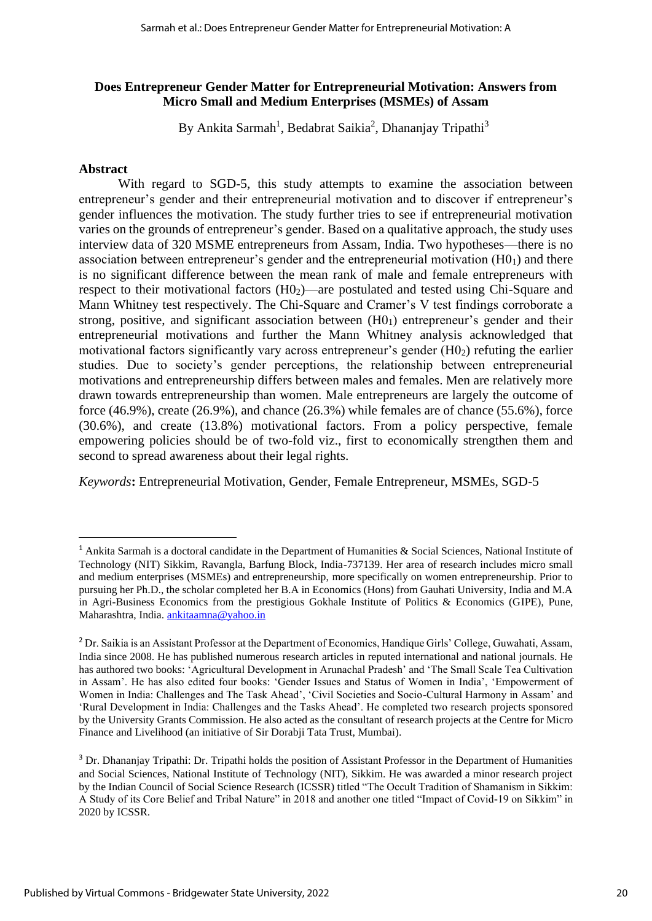#### **Does Entrepreneur Gender Matter for Entrepreneurial Motivation: Answers from Micro Small and Medium Enterprises (MSMEs) of Assam**

By Ankita Sarmah<sup>1</sup>, Bedabrat Saikia<sup>2</sup>, Dhananjay Tripathi<sup>3</sup>

#### **Abstract**

With regard to SGD-5, this study attempts to examine the association between entrepreneur's gender and their entrepreneurial motivation and to discover if entrepreneur's gender influences the motivation. The study further tries to see if entrepreneurial motivation varies on the grounds of entrepreneur's gender. Based on a qualitative approach, the study uses interview data of 320 MSME entrepreneurs from Assam, India. Two hypotheses—there is no association between entrepreneur's gender and the entrepreneurial motivation  $(H<sub>01</sub>)$  and there is no significant difference between the mean rank of male and female entrepreneurs with respect to their motivational factors (H0<sub>2</sub>)—are postulated and tested using Chi-Square and Mann Whitney test respectively. The Chi-Square and Cramer's V test findings corroborate a strong, positive, and significant association between (H01) entrepreneur's gender and their entrepreneurial motivations and further the Mann Whitney analysis acknowledged that motivational factors significantly vary across entrepreneur's gender  $(H_0)$  refuting the earlier studies. Due to society's gender perceptions, the relationship between entrepreneurial motivations and entrepreneurship differs between males and females. Men are relatively more drawn towards entrepreneurship than women. Male entrepreneurs are largely the outcome of force (46.9%), create (26.9%), and chance (26.3%) while females are of chance (55.6%), force (30.6%), and create (13.8%) motivational factors. From a policy perspective, female empowering policies should be of two-fold viz., first to economically strengthen them and second to spread awareness about their legal rights.

*Keywords***:** Entrepreneurial Motivation, Gender, Female Entrepreneur, MSMEs, SGD-5

<sup>&</sup>lt;sup>1</sup> Ankita Sarmah is a doctoral candidate in the Department of Humanities & Social Sciences, National Institute of Technology (NIT) Sikkim, Ravangla, Barfung Block, India-737139. Her area of research includes micro small and medium enterprises (MSMEs) and entrepreneurship, more specifically on women entrepreneurship. Prior to pursuing her Ph.D., the scholar completed her B.A in Economics (Hons) from Gauhati University, India and M.A in Agri-Business Economics from the prestigious Gokhale Institute of Politics & Economics (GIPE), Pune, Maharashtra, India[. ankitaamna@yahoo.in](mailto:ankitaamna@yahoo.in)

<sup>2</sup> Dr. Saikia is an Assistant Professor at the Department of Economics, Handique Girls' College, Guwahati, Assam, India since 2008. He has published numerous research articles in reputed international and national journals. He has authored two books: 'Agricultural Development in Arunachal Pradesh' and 'The Small Scale Tea Cultivation in Assam'. He has also edited four books: 'Gender Issues and Status of Women in India', 'Empowerment of Women in India: Challenges and The Task Ahead', 'Civil Societies and Socio-Cultural Harmony in Assam' and 'Rural Development in India: Challenges and the Tasks Ahead'. He completed two research projects sponsored by the University Grants Commission. He also acted as the consultant of research projects at the Centre for Micro Finance and Livelihood (an initiative of Sir Dorabji Tata Trust, Mumbai).

<sup>&</sup>lt;sup>3</sup> Dr. Dhananjay Tripathi: Dr. Tripathi holds the position of Assistant Professor in the Department of Humanities and Social Sciences, National Institute of Technology (NIT), Sikkim. He was awarded a minor research project by the Indian Council of Social Science Research (ICSSR) titled "The Occult Tradition of Shamanism in Sikkim: A Study of its Core Belief and Tribal Nature" in 2018 and another one titled "Impact of Covid-19 on Sikkim" in 2020 by ICSSR.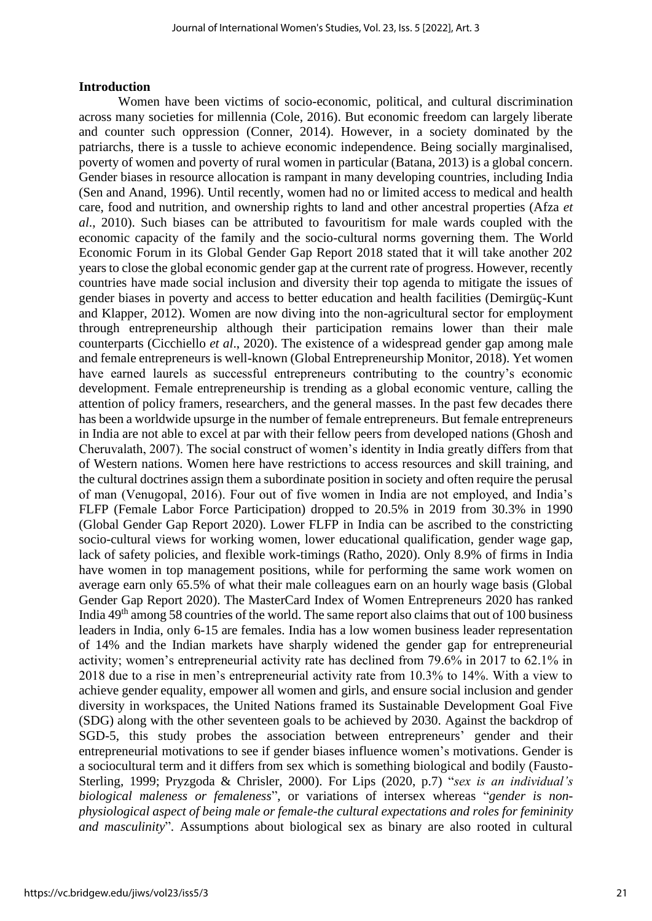#### **Introduction**

Women have been victims of socio-economic, political, and cultural discrimination across many societies for millennia (Cole, 2016). But economic freedom can largely liberate and counter such oppression (Conner, 2014). However, in a society dominated by the patriarchs, there is a tussle to achieve economic independence. Being socially marginalised, poverty of women and poverty of rural women in particular (Batana, 2013) is a global concern. Gender biases in resource allocation is rampant in many developing countries, including India (Sen and Anand, 1996). Until recently, women had no or limited access to medical and health care, food and nutrition, and ownership rights to land and other ancestral properties (Afza *et al*., 2010). Such biases can be attributed to favouritism for male wards coupled with the economic capacity of the family and the socio-cultural norms governing them. The World Economic Forum in its Global Gender Gap Report 2018 stated that it will take another 202 years to close the global economic gender gap at the current rate of progress. However, recently countries have made social inclusion and diversity their top agenda to mitigate the issues of gender biases in poverty and access to better education and health facilities (Demirgüç-Kunt and Klapper, 2012). Women are now diving into the non-agricultural sector for employment through entrepreneurship although their participation remains lower than their male counterparts (Cicchiello *et al*., 2020). The existence of a widespread gender gap among male and female entrepreneurs is well-known (Global Entrepreneurship Monitor, 2018). Yet women have earned laurels as successful entrepreneurs contributing to the country's economic development. Female entrepreneurship is trending as a global economic venture, calling the attention of policy framers, researchers, and the general masses. In the past few decades there has been a worldwide upsurge in the number of female entrepreneurs. But female entrepreneurs in India are not able to excel at par with their fellow peers from developed nations (Ghosh and Cheruvalath, 2007). The social construct of women's identity in India greatly differs from that of Western nations. Women here have restrictions to access resources and skill training, and the cultural doctrines assign them a subordinate position in society and often require the perusal of man (Venugopal, 2016). Four out of five women in India are not employed, and India's FLFP (Female Labor Force Participation) dropped to 20.5% in 2019 from 30.3% in 1990 (Global Gender Gap Report 2020). Lower FLFP in India can be ascribed to the constricting socio-cultural views for working women, lower educational qualification, gender wage gap, lack of safety policies, and flexible work-timings (Ratho, 2020). Only 8.9% of firms in India have women in top management positions, while for performing the same work women on average earn only 65.5% of what their male colleagues earn on an hourly wage basis (Global Gender Gap Report 2020). The MasterCard Index of Women Entrepreneurs 2020 has ranked India 49<sup>th</sup> among 58 countries of the world. The same report also claims that out of 100 business leaders in India, only 6-15 are females. India has a low women business leader representation of 14% and the Indian markets have sharply widened the gender gap for entrepreneurial activity; women's entrepreneurial activity rate has declined from 79.6% in 2017 to 62.1% in 2018 due to a rise in men's entrepreneurial activity rate from 10.3% to 14%. With a view to achieve gender equality, empower all women and girls, and ensure social inclusion and gender diversity in workspaces, the United Nations framed its Sustainable Development Goal Five (SDG) along with the other seventeen goals to be achieved by 2030. Against the backdrop of SGD-5, this study probes the association between entrepreneurs' gender and their entrepreneurial motivations to see if gender biases influence women's motivations. Gender is a sociocultural term and it differs from sex which is something biological and bodily (Fausto-Sterling, 1999; Pryzgoda & Chrisler, 2000). For Lips (2020, p.7) "*sex is an individual's biological maleness or femaleness*", or variations of intersex whereas "*gender is nonphysiological aspect of being male or female-the cultural expectations and roles for femininity and masculinity*". Assumptions about biological sex as binary are also rooted in cultural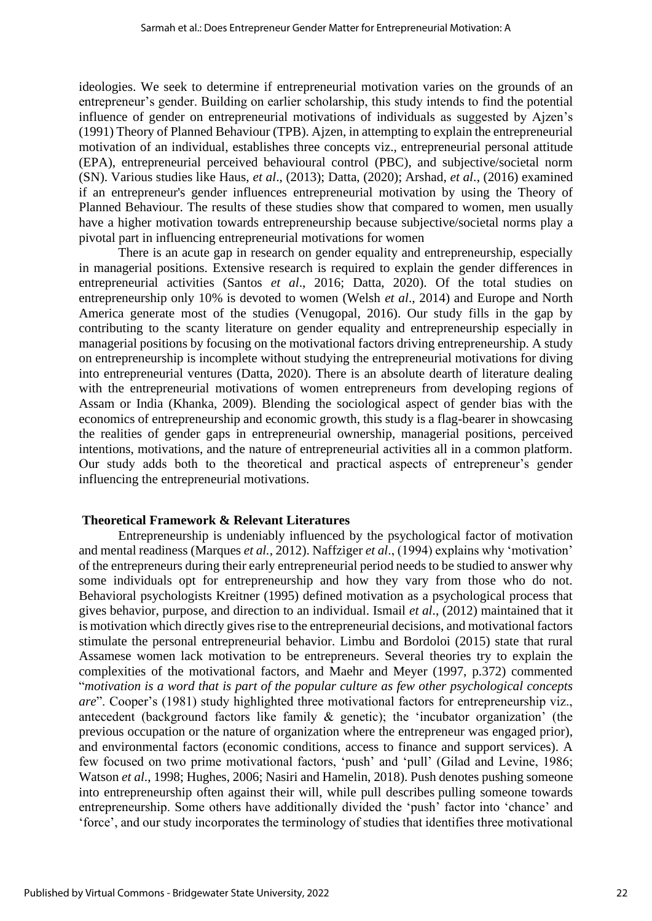ideologies. We seek to determine if entrepreneurial motivation varies on the grounds of an entrepreneur's gender. Building on earlier scholarship, this study intends to find the potential influence of gender on entrepreneurial motivations of individuals as suggested by Ajzen's (1991) Theory of Planned Behaviour (TPB). Ajzen, in attempting to explain the entrepreneurial motivation of an individual, establishes three concepts viz., entrepreneurial personal attitude (EPA), entrepreneurial perceived behavioural control (PBC), and subjective/societal norm (SN). Various studies like Haus, *et al*., (2013); Datta, (2020); Arshad, *et al*., (2016) examined if an entrepreneur's gender influences entrepreneurial motivation by using the Theory of Planned Behaviour. The results of these studies show that compared to women, men usually have a higher motivation towards entrepreneurship because subjective/societal norms play a pivotal part in influencing entrepreneurial motivations for women

There is an acute gap in research on gender equality and entrepreneurship, especially in managerial positions. Extensive research is required to explain the gender differences in entrepreneurial activities (Santos *et al*., 2016; Datta, 2020). Of the total studies on entrepreneurship only 10% is devoted to women (Welsh *et al*., 2014) and Europe and North America generate most of the studies (Venugopal, 2016). Our study fills in the gap by contributing to the scanty literature on gender equality and entrepreneurship especially in managerial positions by focusing on the motivational factors driving entrepreneurship. A study on entrepreneurship is incomplete without studying the entrepreneurial motivations for diving into entrepreneurial ventures (Datta, 2020). There is an absolute dearth of literature dealing with the entrepreneurial motivations of women entrepreneurs from developing regions of Assam or India (Khanka, 2009). Blending the sociological aspect of gender bias with the economics of entrepreneurship and economic growth, this study is a flag-bearer in showcasing the realities of gender gaps in entrepreneurial ownership, managerial positions, perceived intentions, motivations, and the nature of entrepreneurial activities all in a common platform. Our study adds both to the theoretical and practical aspects of entrepreneur's gender influencing the entrepreneurial motivations.

#### **Theoretical Framework & Relevant Literatures**

Entrepreneurship is undeniably influenced by the psychological factor of motivation and mental readiness (Marques *et al.,* 2012). Naffziger *et al*., (1994) explains why 'motivation' of the entrepreneurs during their early entrepreneurial period needs to be studied to answer why some individuals opt for entrepreneurship and how they vary from those who do not. Behavioral psychologists Kreitner (1995) defined motivation as a psychological process that gives behavior, purpose, and direction to an individual. Ismail *et al*., (2012) maintained that it is motivation which directly gives rise to the entrepreneurial decisions, and motivational factors stimulate the personal entrepreneurial behavior. Limbu and Bordoloi (2015) state that rural Assamese women lack motivation to be entrepreneurs. Several theories try to explain the complexities of the motivational factors, and Maehr and Meyer (1997, p.372) commented "*motivation is a word that is part of the popular culture as few other psychological concepts are*". Cooper's (1981) study highlighted three motivational factors for entrepreneurship viz., antecedent (background factors like family & genetic); the 'incubator organization' (the previous occupation or the nature of organization where the entrepreneur was engaged prior), and environmental factors (economic conditions, access to finance and support services). A few focused on two prime motivational factors, 'push' and 'pull' (Gilad and Levine, 1986; Watson *et al*., 1998; Hughes, 2006; Nasiri and Hamelin, 2018). Push denotes pushing someone into entrepreneurship often against their will, while pull describes pulling someone towards entrepreneurship. Some others have additionally divided the 'push' factor into 'chance' and 'force', and our study incorporates the terminology of studies that identifies three motivational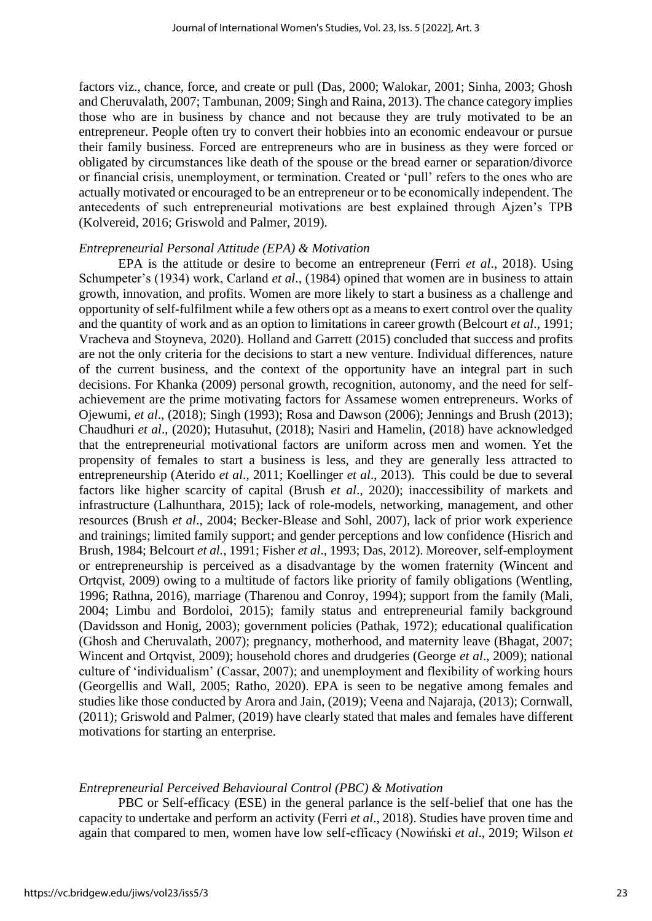factors viz., chance, force, and create or pull (Das, 2000; Walokar, 2001; Sinha, 2003; Ghosh and Cheruvalath, 2007; Tambunan, 2009; Singh and Raina, 2013). The chance category implies those who are in business by chance and not because they are truly motivated to be an entrepreneur. People often try to convert their hobbies into an economic endeavour or pursue their family business. Forced are entrepreneurs who are in business as they were forced or obligated by circumstances like death of the spouse or the bread earner or separation/divorce or financial crisis, unemployment, or termination. Created or 'pull' refers to the ones who are actually motivated or encouraged to be an entrepreneur or to be economically independent. The antecedents of such entrepreneurial motivations are best explained through Ajzen's TPB (Kolvereid, 2016; Griswold and Palmer, 2019).

#### *Entrepreneurial Personal Attitude (EPA) & Motivation*

EPA is the attitude or desire to become an entrepreneur (Ferri *et al*., 2018). Using Schumpeter's (1934) work, Carland *et al*., (1984) opined that women are in business to attain growth, innovation, and profits. Women are more likely to start a business as a challenge and opportunity of self-fulfilment while a few others opt as a means to exert control over the quality and the quantity of work and as an option to limitations in career growth (Belcourt *et al*., 1991; Vracheva and Stoyneva, 2020). Holland and Garrett (2015) concluded that success and profits are not the only criteria for the decisions to start a new venture. Individual differences, nature of the current business, and the context of the opportunity have an integral part in such decisions. For Khanka (2009) personal growth, recognition, autonomy, and the need for selfachievement are the prime motivating factors for Assamese women entrepreneurs. Works of Ojewumi, *et al*., (2018); Singh (1993); Rosa and Dawson (2006); Jennings and Brush (2013); Chaudhuri *et al*., (2020); Hutasuhut, (2018); Nasiri and Hamelin, (2018) have acknowledged that the entrepreneurial motivational factors are uniform across men and women. Yet the propensity of females to start a business is less, and they are generally less attracted to entrepreneurship (Aterido *et al*., 2011; Koellinger *et al*., 2013). This could be due to several factors like higher scarcity of capital (Brush *et al*., 2020); inaccessibility of markets and infrastructure (Lalhunthara, 2015); lack of role-models, networking, management, and other resources (Brush *et al*., 2004; Becker-Blease and Sohl, 2007), lack of prior work experience and trainings; limited family support; and gender perceptions and low confidence (Hisrich and Brush, 1984; Belcourt *et al.*, 1991; Fisher *et al*., 1993; Das, 2012). Moreover, self-employment or entrepreneurship is perceived as a disadvantage by the women fraternity (Wincent and Ortavist, 2009) owing to a multitude of factors like priority of family obligations (Wentling, 1996; Rathna, 2016), marriage (Tharenou and Conroy, 1994); support from the family (Mali, 2004; Limbu and Bordoloi, 2015); family status and entrepreneurial family background (Davidsson and Honig, 2003); government policies (Pathak, 1972); educational qualification (Ghosh and Cheruvalath, 2007); pregnancy, motherhood, and maternity leave (Bhagat, 2007; Wincent and Ortqvist, 2009); household chores and drudgeries (George *et al*., 2009); national culture of 'individualism' (Cassar, 2007); and unemployment and flexibility of working hours (Georgellis and Wall, 2005; Ratho, 2020). EPA is seen to be negative among females and studies like those conducted by Arora and Jain, (2019); Veena and Najaraja, (2013); Cornwall, (2011); Griswold and Palmer, (2019) have clearly stated that males and females have different motivations for starting an enterprise.

#### *Entrepreneurial Perceived Behavioural Control (PBC) & Motivation*

PBC or Self-efficacy (ESE) in the general parlance is the self-belief that one has the capacity to undertake and perform an activity (Ferri *et al*., 2018). Studies have proven time and again that compared to men, women have low self-efficacy (Nowiński *et al*., 2019; Wilson *et*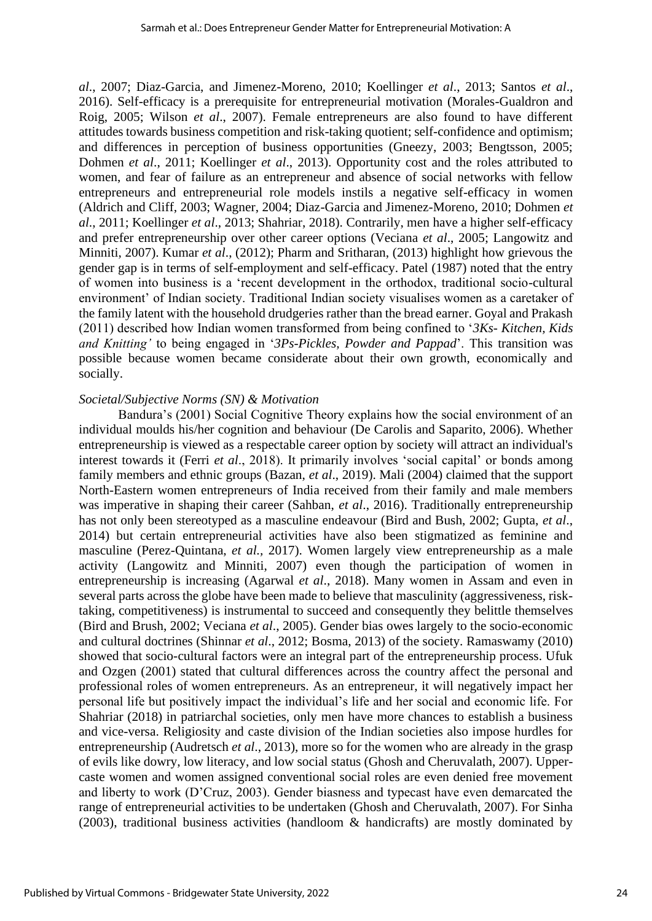*al*., 2007; Diaz-Garcia, and Jimenez-Moreno, 2010; Koellinger *et al*., 2013; Santos *et al*., 2016). Self-efficacy is a prerequisite for entrepreneurial motivation (Morales-Gualdron and Roig, 2005; Wilson *et al*., 2007). Female entrepreneurs are also found to have different attitudes towards business competition and risk-taking quotient; self-confidence and optimism; and differences in perception of business opportunities (Gneezy, 2003; Bengtsson, 2005; Dohmen *et al*., 2011; Koellinger *et al*., 2013). Opportunity cost and the roles attributed to women, and fear of failure as an entrepreneur and absence of social networks with fellow entrepreneurs and entrepreneurial role models instils a negative self-efficacy in women (Aldrich and Cliff, 2003; Wagner, 2004; Diaz-Garcia and Jimenez-Moreno, 2010; Dohmen *et al*., 2011; Koellinger *et al*., 2013; Shahriar, 2018). Contrarily, men have a higher self-efficacy and prefer entrepreneurship over other career options (Veciana *et al*., 2005; Langowitz and Minniti, 2007). Kumar *et al*., (2012); Pharm and Sritharan, (2013) highlight how grievous the gender gap is in terms of self-employment and self-efficacy. Patel (1987) noted that the entry of women into business is a 'recent development in the orthodox, traditional socio-cultural environment' of Indian society. Traditional Indian society visualises women as a caretaker of the family latent with the household drudgeries rather than the bread earner. Goyal and Prakash (2011) described how Indian women transformed from being confined to '*3Ks- Kitchen, Kids and Knitting'* to being engaged in '*3Ps-Pickles, Powder and Pappad*'. This transition was possible because women became considerate about their own growth, economically and socially.

#### *Societal/Subjective Norms (SN) & Motivation*

Bandura's (2001) Social Cognitive Theory explains how the social environment of an individual moulds his/her cognition and behaviour (De Carolis and Saparito, 2006). Whether entrepreneurship is viewed as a respectable career option by society will attract an individual's interest towards it (Ferri *et al*., 2018). It primarily involves 'social capital' or bonds among family members and ethnic groups (Bazan, *et al*., 2019). Mali (2004) claimed that the support North-Eastern women entrepreneurs of India received from their family and male members was imperative in shaping their career (Sahban, *et al*., 2016). Traditionally entrepreneurship has not only been stereotyped as a masculine endeavour (Bird and Bush, 2002; Gupta, *et al*., 2014) but certain entrepreneurial activities have also been stigmatized as feminine and masculine (Perez-Quintana, *et al.,* 2017). Women largely view entrepreneurship as a male activity (Langowitz and Minniti, 2007) even though the participation of women in entrepreneurship is increasing (Agarwal *et al*., 2018). Many women in Assam and even in several parts across the globe have been made to believe that masculinity (aggressiveness, risktaking, competitiveness) is instrumental to succeed and consequently they belittle themselves (Bird and Brush, 2002; Veciana *et al*., 2005). Gender bias owes largely to the socio-economic and cultural doctrines (Shinnar *et al*., 2012; Bosma, 2013) of the society. Ramaswamy (2010) showed that socio-cultural factors were an integral part of the entrepreneurship process. Ufuk and Ozgen (2001) stated that cultural differences across the country affect the personal and professional roles of women entrepreneurs. As an entrepreneur, it will negatively impact her personal life but positively impact the individual's life and her social and economic life. For Shahriar (2018) in patriarchal societies, only men have more chances to establish a business and vice-versa. Religiosity and caste division of the Indian societies also impose hurdles for entrepreneurship (Audretsch *et al*., 2013), more so for the women who are already in the grasp of evils like dowry, low literacy, and low social status (Ghosh and Cheruvalath, 2007). Uppercaste women and women assigned conventional social roles are even denied free movement and liberty to work (D'Cruz, 2003). Gender biasness and typecast have even demarcated the range of entrepreneurial activities to be undertaken (Ghosh and Cheruvalath, 2007). For Sinha (2003), traditional business activities (handloom & handicrafts) are mostly dominated by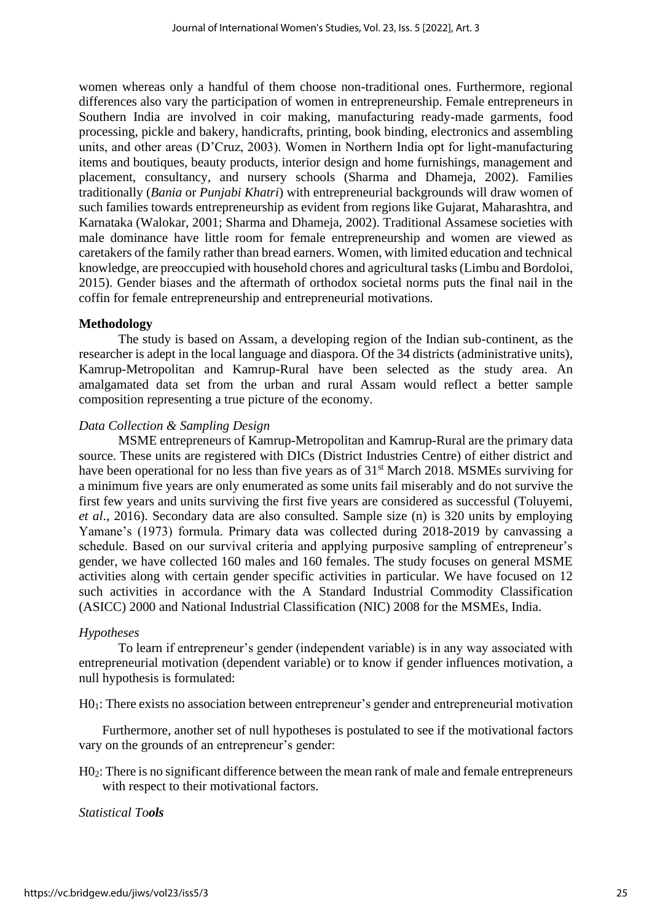women whereas only a handful of them choose non-traditional ones. Furthermore, regional differences also vary the participation of women in entrepreneurship. Female entrepreneurs in Southern India are involved in coir making, manufacturing ready-made garments, food processing, pickle and bakery, handicrafts, printing, book binding, electronics and assembling units, and other areas (D'Cruz, 2003). Women in Northern India opt for light-manufacturing items and boutiques, beauty products, interior design and home furnishings, management and placement, consultancy, and nursery schools (Sharma and Dhameja, 2002). Families traditionally (*Bania* or *Punjabi Khatri*) with entrepreneurial backgrounds will draw women of such families towards entrepreneurship as evident from regions like Gujarat, Maharashtra, and Karnataka (Walokar, 2001; Sharma and Dhameja, 2002). Traditional Assamese societies with male dominance have little room for female entrepreneurship and women are viewed as caretakers of the family rather than bread earners. Women, with limited education and technical knowledge, are preoccupied with household chores and agricultural tasks (Limbu and Bordoloi, 2015). Gender biases and the aftermath of orthodox societal norms puts the final nail in the coffin for female entrepreneurship and entrepreneurial motivations.

# **Methodology**

The study is based on Assam, a developing region of the Indian sub-continent, as the researcher is adept in the local language and diaspora. Of the 34 districts (administrative units), Kamrup-Metropolitan and Kamrup-Rural have been selected as the study area. An amalgamated data set from the urban and rural Assam would reflect a better sample composition representing a true picture of the economy.

# *Data Collection & Sampling Design*

MSME entrepreneurs of Kamrup-Metropolitan and Kamrup-Rural are the primary data source. These units are registered with DICs (District Industries Centre) of either district and have been operational for no less than five years as of 31<sup>st</sup> March 2018. MSMEs surviving for a minimum five years are only enumerated as some units fail miserably and do not survive the first few years and units surviving the first five years are considered as successful (Toluyemi, *et al*., 2016). Secondary data are also consulted. Sample size (n) is 320 units by employing Yamane's (1973) formula. Primary data was collected during 2018-2019 by canvassing a schedule. Based on our survival criteria and applying purposive sampling of entrepreneur's gender, we have collected 160 males and 160 females. The study focuses on general MSME activities along with certain gender specific activities in particular. We have focused on 12 such activities in accordance with the A Standard Industrial Commodity Classification (ASICC) 2000 and National Industrial Classification (NIC) 2008 for the MSMEs, India.

#### *Hypotheses*

To learn if entrepreneur's gender (independent variable) is in any way associated with entrepreneurial motivation (dependent variable) or to know if gender influences motivation, a null hypothesis is formulated:

H01: There exists no association between entrepreneur's gender and entrepreneurial motivation

Furthermore, another set of null hypotheses is postulated to see if the motivational factors vary on the grounds of an entrepreneur's gender:

H02: There is no significant difference between the mean rank of male and female entrepreneurs with respect to their motivational factors.

*Statistical Tools*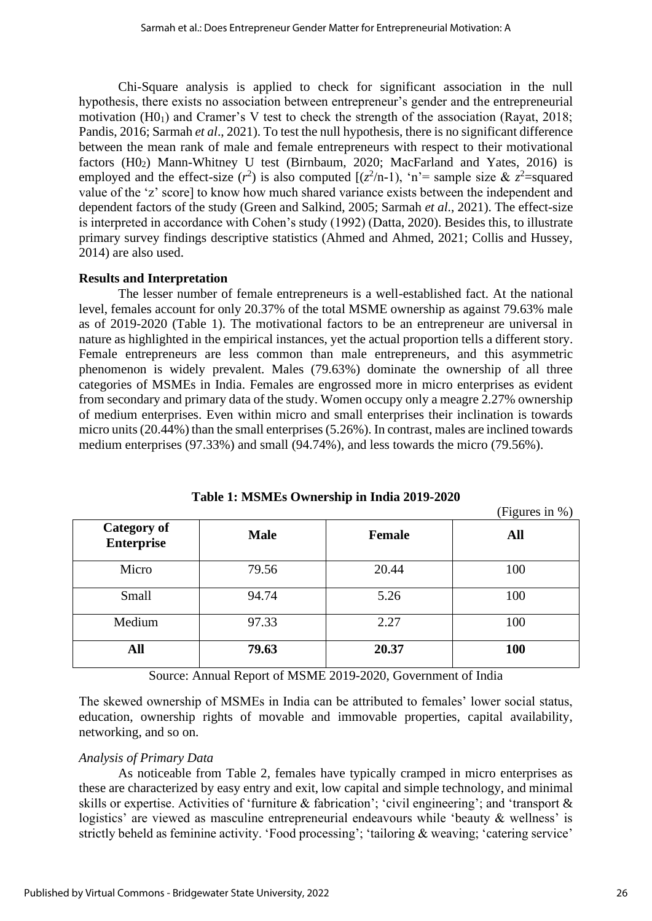Chi-Square analysis is applied to check for significant association in the null hypothesis, there exists no association between entrepreneur's gender and the entrepreneurial motivation (H01) and Cramer's V test to check the strength of the association (Rayat, 2018; Pandis, 2016; Sarmah *et al*., 2021). To test the null hypothesis, there is no significant difference between the mean rank of male and female entrepreneurs with respect to their motivational factors  $(H0<sub>2</sub>)$  Mann-Whitney U test (Birnbaum, 2020; MacFarland and Yates, 2016) is employed and the effect-size  $(r^2)$  is also computed  $[(z^2/n-1), 'n'$  = sample size &  $z^2$  = squared value of the 'z' score] to know how much shared variance exists between the independent and dependent factors of the study (Green and Salkind, 2005; Sarmah *et al*., 2021). The effect-size is interpreted in accordance with Cohen's study (1992) (Datta, 2020). Besides this, to illustrate primary survey findings descriptive statistics (Ahmed and Ahmed, 2021; Collis and Hussey, 2014) are also used.

# **Results and Interpretation**

The lesser number of female entrepreneurs is a well-established fact. At the national level, females account for only 20.37% of the total MSME ownership as against 79.63% male as of 2019-2020 (Table 1). The motivational factors to be an entrepreneur are universal in nature as highlighted in the empirical instances, yet the actual proportion tells a different story. Female entrepreneurs are less common than male entrepreneurs, and this asymmetric phenomenon is widely prevalent. Males (79.63%) dominate the ownership of all three categories of MSMEs in India. Females are engrossed more in micro enterprises as evident from secondary and primary data of the study. Women occupy only a meagre 2.27% ownership of medium enterprises. Even within micro and small enterprises their inclination is towards micro units (20.44%) than the small enterprises (5.26%). In contrast, males are inclined towards medium enterprises (97.33%) and small (94.74%), and less towards the micro (79.56%).

|                                         |             |               | (Figures in $\%$ ) |
|-----------------------------------------|-------------|---------------|--------------------|
| <b>Category of</b><br><b>Enterprise</b> | <b>Male</b> | <b>Female</b> | All                |
| Micro                                   | 79.56       | 20.44         | 100                |
| Small                                   | 94.74       | 5.26          | 100                |
| Medium                                  | 97.33       | 2.27          | 100                |
| All                                     | 79.63       | 20.37         | 100                |

**Table 1: MSMEs Ownership in India 2019-2020**

Source: Annual Report of MSME 2019-2020, Government of India

The skewed ownership of MSMEs in India can be attributed to females' lower social status, education, ownership rights of movable and immovable properties, capital availability, networking, and so on.

# *Analysis of Primary Data*

As noticeable from Table 2, females have typically cramped in micro enterprises as these are characterized by easy entry and exit, low capital and simple technology, and minimal skills or expertise. Activities of 'furniture & fabrication'; 'civil engineering'; and 'transport & logistics' are viewed as masculine entrepreneurial endeavours while 'beauty & wellness' is strictly beheld as feminine activity. 'Food processing'; 'tailoring & weaving; 'catering service'

 $\sqrt{2}$  in  $\sqrt{2}$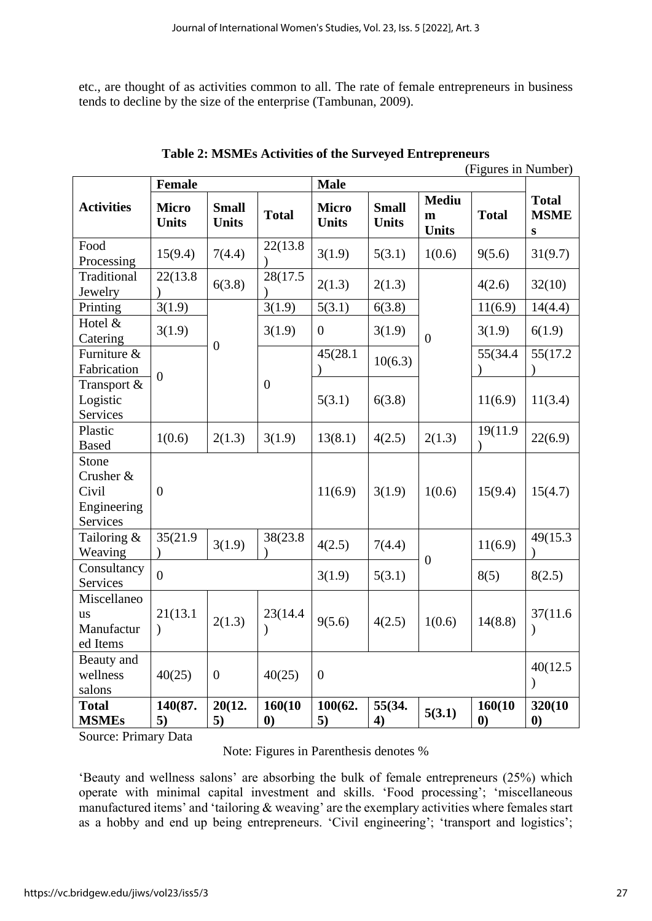etc., are thought of as activities common to all. The rate of female entrepreneurs in business tends to decline by the size of the enterprise (Tambunan, 2009).

| (Figures in Number)<br><b>Female</b><br><b>Male</b>    |                              |                              |                            |                              |                              |                                   |                            |                                          |
|--------------------------------------------------------|------------------------------|------------------------------|----------------------------|------------------------------|------------------------------|-----------------------------------|----------------------------|------------------------------------------|
| <b>Activities</b>                                      | <b>Micro</b><br><b>Units</b> | <b>Small</b><br><b>Units</b> | <b>Total</b>               | <b>Micro</b><br><b>Units</b> | <b>Small</b><br><b>Units</b> | <b>Mediu</b><br>m<br><b>Units</b> | <b>Total</b>               | <b>Total</b><br><b>MSME</b><br>${\bf S}$ |
| Food<br>Processing                                     | 15(9.4)                      | 7(4.4)                       | 22(13.8)                   | 3(1.9)                       | 5(3.1)                       | 1(0.6)                            | 9(5.6)                     | 31(9.7)                                  |
| Traditional<br>Jewelry                                 | 22(13.8)                     | 6(3.8)                       | 28(17.5                    | 2(1.3)                       | 2(1.3)                       |                                   | 4(2.6)                     | 32(10)                                   |
| Printing                                               | 3(1.9)                       |                              | 3(1.9)                     | 5(3.1)                       | 6(3.8)                       |                                   | 11(6.9)                    | 14(4.4)                                  |
| Hotel &<br>Catering                                    | 3(1.9)                       | $\overline{0}$               | 3(1.9)                     | $\boldsymbol{0}$             | 3(1.9)                       | $\overline{0}$                    | 3(1.9)                     | 6(1.9)                                   |
| Furniture &<br>Fabrication                             | $\overline{0}$               |                              |                            | 45(28.1)                     | 10(6.3)                      |                                   | 55(34.4                    | 55(17.2)                                 |
| Transport &<br>Logistic<br>Services                    |                              |                              | $\boldsymbol{0}$           | 5(3.1)                       | 6(3.8)                       |                                   | 11(6.9)                    | 11(3.4)                                  |
| Plastic<br><b>Based</b>                                | 1(0.6)                       | 2(1.3)                       | 3(1.9)                     | 13(8.1)                      | 4(2.5)                       | 2(1.3)                            | 19(11.9)                   | 22(6.9)                                  |
| Stone<br>Crusher &<br>Civil<br>Engineering<br>Services | $\overline{0}$               |                              |                            | 11(6.9)                      | 3(1.9)                       | 1(0.6)                            | 15(9.4)                    | 15(4.7)                                  |
| Tailoring &<br>Weaving                                 | 35(21.9)                     | 3(1.9)                       | 38(23.8)                   | 4(2.5)                       | 7(4.4)                       | $\overline{0}$                    | 11(6.9)                    | 49(15.3)                                 |
| Consultancy<br>Services                                | $\overline{0}$               |                              |                            | 3(1.9)                       | 5(3.1)                       |                                   | 8(5)                       | 8(2.5)                                   |
| Miscellaneo<br><b>us</b><br>Manufactur<br>ed Items     | 21(13.1<br>$\mathcal{C}$     | 2(1.3)                       | 23(14.4)<br>$\mathcal{E}$  | 9(5.6)                       | 4(2.5)                       | 1(0.6)                            | 14(8.8)                    | 37(11.6)<br>$\mathcal{E}$                |
| Beauty and<br>wellness<br>salons                       | 40(25)                       | $\boldsymbol{0}$             | 40(25)                     | $\boldsymbol{0}$             |                              |                                   |                            | 40(12.5)<br>$\mathcal{L}$                |
| <b>Total</b><br><b>MSMEs</b>                           | 140(87.<br>5)                | 20(12.<br>5)                 | 160(10<br>$\boldsymbol{0}$ | 100(62.<br>5)                | 55(34.<br>4)                 | 5(3.1)                            | 160(10<br>$\boldsymbol{0}$ | 320(10<br>$\boldsymbol{0}$               |

| Table 2: MSMEs Activities of the Surveyed Entrepreneurs |                                        |  |  |
|---------------------------------------------------------|----------------------------------------|--|--|
|                                                         | $(E_{\text{anmo}})$ in $\text{Number}$ |  |  |

Source: Primary Data

| Note: Figures in Parenthesis denotes % |  |  |  |
|----------------------------------------|--|--|--|
|----------------------------------------|--|--|--|

'Beauty and wellness salons' are absorbing the bulk of female entrepreneurs (25%) which operate with minimal capital investment and skills. 'Food processing'; 'miscellaneous manufactured items' and 'tailoring & weaving' are the exemplary activities where females start as a hobby and end up being entrepreneurs. 'Civil engineering'; 'transport and logistics';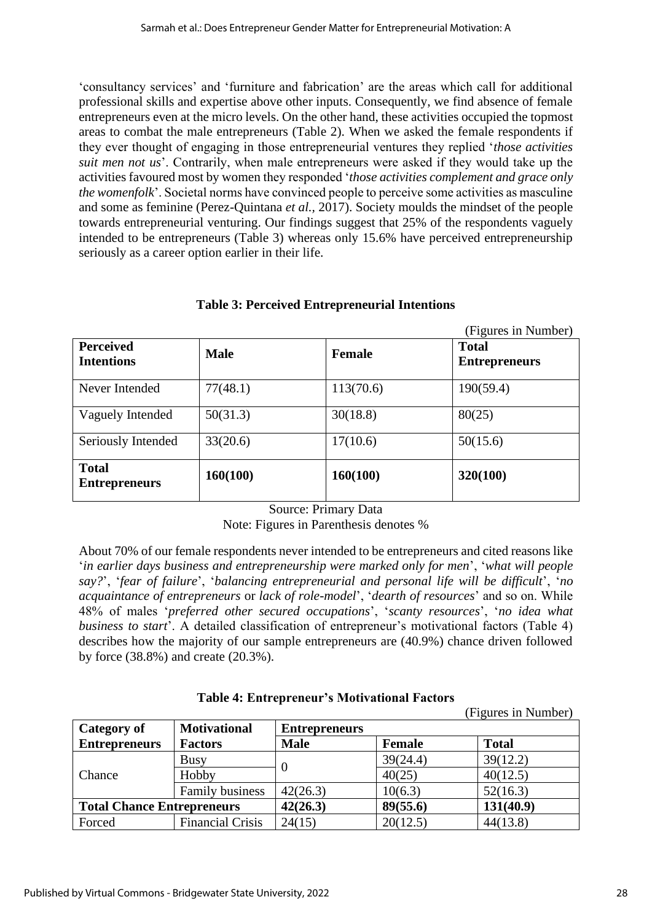'consultancy services' and 'furniture and fabrication' are the areas which call for additional professional skills and expertise above other inputs. Consequently, we find absence of female entrepreneurs even at the micro levels. On the other hand, these activities occupied the topmost areas to combat the male entrepreneurs (Table 2). When we asked the female respondents if they ever thought of engaging in those entrepreneurial ventures they replied '*those activities suit men not us*'. Contrarily, when male entrepreneurs were asked if they would take up the activities favoured most by women they responded '*those activities complement and grace only the womenfolk*'. Societal norms have convinced people to perceive some activities as masculine and some as feminine (Perez-Quintana *et al.,* 2017). Society moulds the mindset of the people towards entrepreneurial venturing. Our findings suggest that 25% of the respondents vaguely intended to be entrepreneurs (Table 3) whereas only 15.6% have perceived entrepreneurship seriously as a career option earlier in their life.

| <b>Perceived</b><br><b>Intentions</b> | <b>Male</b> | <b>Female</b> | (Figures in Number)<br><b>Total</b><br><b>Entrepreneurs</b> |
|---------------------------------------|-------------|---------------|-------------------------------------------------------------|
| Never Intended                        | 77(48.1)    | 113(70.6)     | 190(59.4)                                                   |
| Vaguely Intended                      | 50(31.3)    | 30(18.8)      | 80(25)                                                      |
| Seriously Intended                    | 33(20.6)    | 17(10.6)      | 50(15.6)                                                    |
| <b>Total</b><br><b>Entrepreneurs</b>  | 160(100)    | 160(100)      | 320(100)                                                    |

# **Table 3: Perceived Entrepreneurial Intentions**

Source: Primary Data

Note: Figures in Parenthesis denotes %

About 70% of our female respondents never intended to be entrepreneurs and cited reasons like '*in earlier days business and entrepreneurship were marked only for men*', '*what will people say?*', '*fear of failure*', '*balancing entrepreneurial and personal life will be difficult*', '*no acquaintance of entrepreneurs* or *lack of role-model*', '*dearth of resources*' and so on. While 48% of males '*preferred other secured occupations*', '*scanty resources*', '*no idea what business to start*'. A detailed classification of entrepreneur's motivational factors (Table 4) describes how the majority of our sample entrepreneurs are (40.9%) chance driven followed by force (38.8%) and create (20.3%).

|  | Table 4: Entrepreneur's Motivational Factors |  |
|--|----------------------------------------------|--|
|  |                                              |  |

(Figures in Number)

| Category of                       | <b>Motivational</b>     | <b>Entrepreneurs</b> |               |              |
|-----------------------------------|-------------------------|----------------------|---------------|--------------|
| <b>Entrepreneurs</b>              | <b>Factors</b>          | <b>Male</b>          | <b>Female</b> | <b>Total</b> |
| Chance                            | Busy                    |                      | 39(24.4)      | 39(12.2)     |
|                                   | Hobby                   |                      | 40(25)        | 40(12.5)     |
|                                   | <b>Family business</b>  | 42(26.3)             | 10(6.3)       | 52(16.3)     |
| <b>Total Chance Entrepreneurs</b> |                         | 42(26.3)             | 89(55.6)      | 131(40.9)    |
| Forced                            | <b>Financial Crisis</b> | 24(15)               | 20(12.5)      | 44(13.8)     |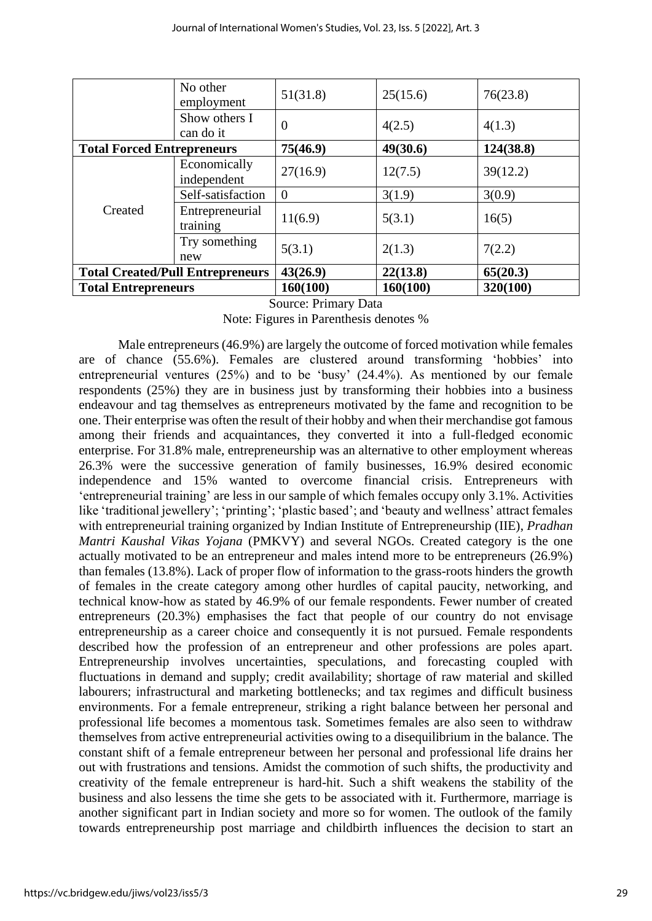|                                         | No other<br>employment      | 51(31.8)       | 25(15.6) | 76(23.8)  |
|-----------------------------------------|-----------------------------|----------------|----------|-----------|
|                                         | Show others I<br>can do it  | $\overline{0}$ | 4(2.5)   | 4(1.3)    |
| <b>Total Forced Entrepreneurs</b>       |                             | 75(46.9)       | 49(30.6) | 124(38.8) |
|                                         | Economically<br>independent | 27(16.9)       | 12(7.5)  | 39(12.2)  |
|                                         | Self-satisfaction           | $\Omega$       | 3(1.9)   | 3(0.9)    |
| Created                                 | Entrepreneurial<br>training | 11(6.9)        | 5(3.1)   | 16(5)     |
|                                         | Try something<br>new        | 5(3.1)         | 2(1.3)   | 7(2.2)    |
| <b>Total Created/Pull Entrepreneurs</b> |                             | 43(26.9)       | 22(13.8) | 65(20.3)  |
| <b>Total Entrepreneurs</b>              |                             | 160(100)       | 160(100) | 320(100)  |

Source: Primary Data

Note: Figures in Parenthesis denotes %

Male entrepreneurs (46.9%) are largely the outcome of forced motivation while females are of chance (55.6%). Females are clustered around transforming 'hobbies' into entrepreneurial ventures (25%) and to be 'busy' (24.4%). As mentioned by our female respondents (25%) they are in business just by transforming their hobbies into a business endeavour and tag themselves as entrepreneurs motivated by the fame and recognition to be one. Their enterprise was often the result of their hobby and when their merchandise got famous among their friends and acquaintances, they converted it into a full-fledged economic enterprise. For 31.8% male, entrepreneurship was an alternative to other employment whereas 26.3% were the successive generation of family businesses, 16.9% desired economic independence and 15% wanted to overcome financial crisis. Entrepreneurs with 'entrepreneurial training' are less in our sample of which females occupy only 3.1%. Activities like 'traditional jewellery'; 'printing'; 'plastic based'; and 'beauty and wellness' attract females with entrepreneurial training organized by Indian Institute of Entrepreneurship (IIE), *Pradhan Mantri Kaushal Vikas Yojana* (PMKVY) and several NGOs. Created category is the one actually motivated to be an entrepreneur and males intend more to be entrepreneurs (26.9%) than females (13.8%). Lack of proper flow of information to the grass-roots hinders the growth of females in the create category among other hurdles of capital paucity, networking, and technical know-how as stated by 46.9% of our female respondents. Fewer number of created entrepreneurs (20.3%) emphasises the fact that people of our country do not envisage entrepreneurship as a career choice and consequently it is not pursued. Female respondents described how the profession of an entrepreneur and other professions are poles apart. Entrepreneurship involves uncertainties, speculations, and forecasting coupled with fluctuations in demand and supply; credit availability; shortage of raw material and skilled labourers; infrastructural and marketing bottlenecks; and tax regimes and difficult business environments. For a female entrepreneur, striking a right balance between her personal and professional life becomes a momentous task. Sometimes females are also seen to withdraw themselves from active entrepreneurial activities owing to a disequilibrium in the balance. The constant shift of a female entrepreneur between her personal and professional life drains her out with frustrations and tensions. Amidst the commotion of such shifts, the productivity and creativity of the female entrepreneur is hard-hit. Such a shift weakens the stability of the business and also lessens the time she gets to be associated with it. Furthermore, marriage is another significant part in Indian society and more so for women. The outlook of the family towards entrepreneurship post marriage and childbirth influences the decision to start an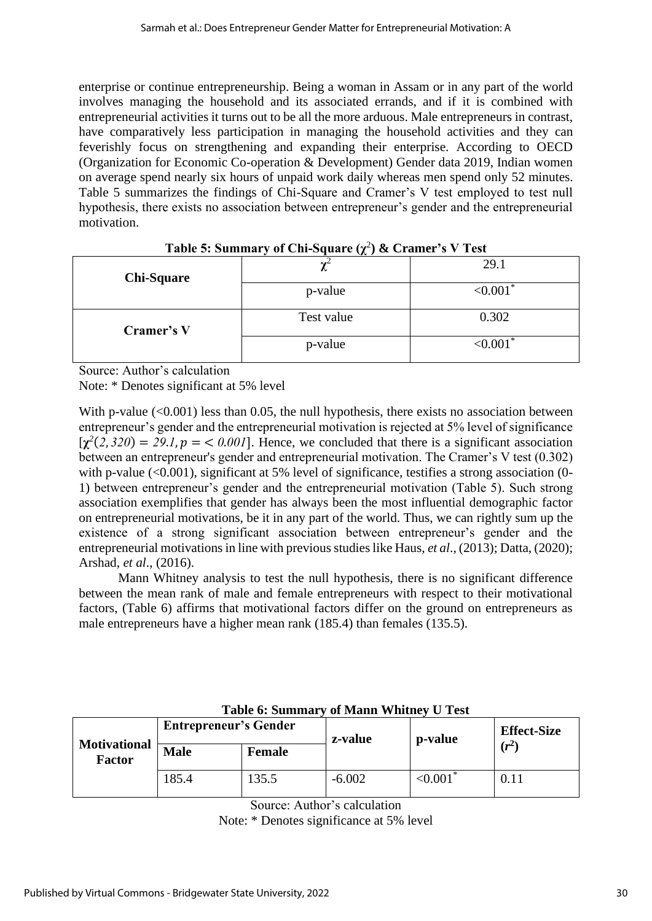enterprise or continue entrepreneurship. Being a woman in Assam or in any part of the world involves managing the household and its associated errands, and if it is combined with entrepreneurial activities it turns out to be all the more arduous. Male entrepreneurs in contrast, have comparatively less participation in managing the household activities and they can feverishly focus on strengthening and expanding their enterprise. According to OECD (Organization for Economic Co-operation & Development) Gender data 2019, Indian women on average spend nearly six hours of unpaid work daily whereas men spend only 52 minutes. Table 5 summarizes the findings of Chi-Square and Cramer's V test employed to test null hypothesis, there exists no association between entrepreneur's gender and the entrepreneurial motivation.

| <b>Chi-Square</b> | $\cdots$<br>∼ | 29.1    |
|-------------------|---------------|---------|
|                   | p-value       | < 0.001 |
| Cramer's V        | Test value    | 0.302   |
|                   | p-value       | < 0.001 |

# **Table 5: Summary of Chi-Square (ꭓ**<sup>2</sup> **) & Cramer's V Test**

Source: Author's calculation

Note: \* Denotes significant at 5% level

With p-value  $(<0.001$ ) less than 0.05, the null hypothesis, there exists no association between entrepreneur's gender and the entrepreneurial motivation is rejected at 5% level of significance  $[\chi^2(2,320) = 29.1, p = 0.001]$ . Hence, we concluded that there is a significant association between an entrepreneur's gender and entrepreneurial motivation. The Cramer's V test (0.302) with p-value  $(<0.001)$ , significant at 5% level of significance, testifies a strong association (0-1) between entrepreneur's gender and the entrepreneurial motivation (Table 5). Such strong association exemplifies that gender has always been the most influential demographic factor on entrepreneurial motivations, be it in any part of the world. Thus, we can rightly sum up the existence of a strong significant association between entrepreneur's gender and the entrepreneurial motivations in line with previous studies like Haus, *et al*., (2013); Datta, (2020); Arshad, *et al*., (2016).

Mann Whitney analysis to test the null hypothesis, there is no significant difference between the mean rank of male and female entrepreneurs with respect to their motivational factors, (Table 6) affirms that motivational factors differ on the ground on entrepreneurs as male entrepreneurs have a higher mean rank (185.4) than females (135.5).

| <b>Motivational</b><br><b>Factor</b> | <b>Entrepreneur's Gender</b> |        | z-value  | p-value        | <b>Effect-Size</b> |
|--------------------------------------|------------------------------|--------|----------|----------------|--------------------|
|                                      | <b>Male</b>                  | Female |          |                | $(r^2)$            |
|                                      | 185.4                        | 35.5   | $-6.002$ | $\leq 0.001$ * | 0.11               |

# **Table 6: Summary of Mann Whitney U Test**

Source: Author's calculation

Note: \* Denotes significance at 5% level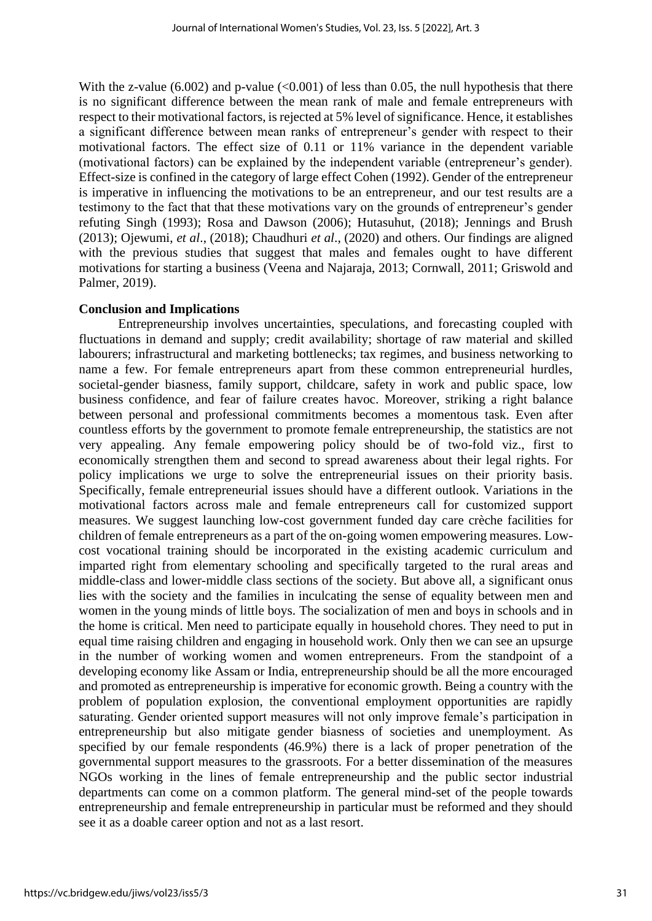With the z-value (6.002) and p-value ( $\langle 0.001 \rangle$  of less than 0.05, the null hypothesis that there is no significant difference between the mean rank of male and female entrepreneurs with respect to their motivational factors, is rejected at 5% level of significance. Hence, it establishes a significant difference between mean ranks of entrepreneur's gender with respect to their motivational factors. The effect size of 0.11 or 11% variance in the dependent variable (motivational factors) can be explained by the independent variable (entrepreneur's gender). Effect-size is confined in the category of large effect Cohen (1992). Gender of the entrepreneur is imperative in influencing the motivations to be an entrepreneur, and our test results are a testimony to the fact that that these motivations vary on the grounds of entrepreneur's gender refuting Singh (1993); Rosa and Dawson (2006); Hutasuhut, (2018); Jennings and Brush (2013); Ojewumi, *et al*., (2018); Chaudhuri *et al*., (2020) and others. Our findings are aligned with the previous studies that suggest that males and females ought to have different motivations for starting a business (Veena and Najaraja, 2013; Cornwall, 2011; Griswold and Palmer, 2019).

#### **Conclusion and Implications**

Entrepreneurship involves uncertainties, speculations, and forecasting coupled with fluctuations in demand and supply; credit availability; shortage of raw material and skilled labourers; infrastructural and marketing bottlenecks; tax regimes, and business networking to name a few. For female entrepreneurs apart from these common entrepreneurial hurdles, societal-gender biasness, family support, childcare, safety in work and public space, low business confidence, and fear of failure creates havoc. Moreover, striking a right balance between personal and professional commitments becomes a momentous task. Even after countless efforts by the government to promote female entrepreneurship, the statistics are not very appealing. Any female empowering policy should be of two-fold viz., first to economically strengthen them and second to spread awareness about their legal rights. For policy implications we urge to solve the entrepreneurial issues on their priority basis. Specifically, female entrepreneurial issues should have a different outlook. Variations in the motivational factors across male and female entrepreneurs call for customized support measures. We suggest launching low-cost government funded day care crèche facilities for children of female entrepreneurs as a part of the on-going women empowering measures. Lowcost vocational training should be incorporated in the existing academic curriculum and imparted right from elementary schooling and specifically targeted to the rural areas and middle-class and lower-middle class sections of the society. But above all, a significant onus lies with the society and the families in inculcating the sense of equality between men and women in the young minds of little boys. The socialization of men and boys in schools and in the home is critical. Men need to participate equally in household chores. They need to put in equal time raising children and engaging in household work. Only then we can see an upsurge in the number of working women and women entrepreneurs. From the standpoint of a developing economy like Assam or India, entrepreneurship should be all the more encouraged and promoted as entrepreneurship is imperative for economic growth. Being a country with the problem of population explosion, the conventional employment opportunities are rapidly saturating. Gender oriented support measures will not only improve female's participation in entrepreneurship but also mitigate gender biasness of societies and unemployment. As specified by our female respondents (46.9%) there is a lack of proper penetration of the governmental support measures to the grassroots. For a better dissemination of the measures NGOs working in the lines of female entrepreneurship and the public sector industrial departments can come on a common platform. The general mind-set of the people towards entrepreneurship and female entrepreneurship in particular must be reformed and they should see it as a doable career option and not as a last resort.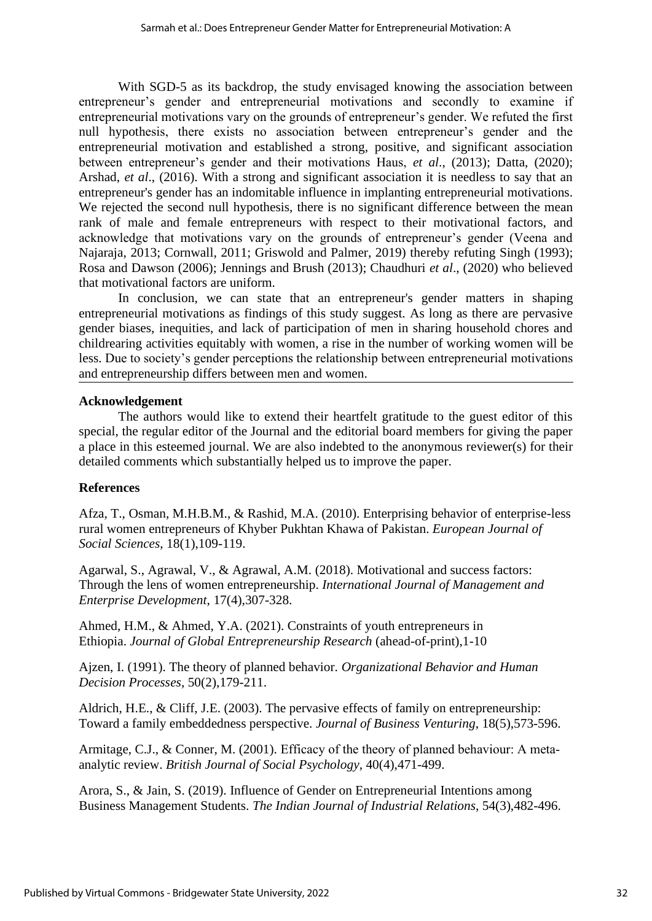With SGD-5 as its backdrop, the study envisaged knowing the association between entrepreneur's gender and entrepreneurial motivations and secondly to examine if entrepreneurial motivations vary on the grounds of entrepreneur's gender. We refuted the first null hypothesis, there exists no association between entrepreneur's gender and the entrepreneurial motivation and established a strong, positive, and significant association between entrepreneur's gender and their motivations Haus, *et al*., (2013); Datta, (2020); Arshad, *et al*., (2016). With a strong and significant association it is needless to say that an entrepreneur's gender has an indomitable influence in implanting entrepreneurial motivations. We rejected the second null hypothesis, there is no significant difference between the mean rank of male and female entrepreneurs with respect to their motivational factors, and acknowledge that motivations vary on the grounds of entrepreneur's gender (Veena and Najaraja, 2013; Cornwall, 2011; Griswold and Palmer, 2019) thereby refuting Singh (1993); Rosa and Dawson (2006); Jennings and Brush (2013); Chaudhuri *et al*., (2020) who believed that motivational factors are uniform.

In conclusion, we can state that an entrepreneur's gender matters in shaping entrepreneurial motivations as findings of this study suggest. As long as there are pervasive gender biases, inequities, and lack of participation of men in sharing household chores and childrearing activities equitably with women, a rise in the number of working women will be less. Due to society's gender perceptions the relationship between entrepreneurial motivations and entrepreneurship differs between men and women.

#### **Acknowledgement**

The authors would like to extend their heartfelt gratitude to the guest editor of this special, the regular editor of the Journal and the editorial board members for giving the paper a place in this esteemed journal. We are also indebted to the anonymous reviewer(s) for their detailed comments which substantially helped us to improve the paper.

# **References**

Afza, T., Osman, M.H.B.M., & Rashid, M.A. (2010). Enterprising behavior of enterprise-less rural women entrepreneurs of Khyber Pukhtan Khawa of Pakistan. *European Journal of Social Sciences*, 18(1),109-119.

Agarwal, S., Agrawal, V., & Agrawal, A.M. (2018). Motivational and success factors: Through the lens of women entrepreneurship. *International Journal of Management and Enterprise Development*, 17(4),307-328.

Ahmed, H.M., & Ahmed, Y.A. (2021). Constraints of youth entrepreneurs in Ethiopia. *Journal of Global Entrepreneurship Research* (ahead-of-print),1-10

Ajzen, I. (1991). The theory of planned behavior. *Organizational Behavior and Human Decision Processes*, 50(2),179-211.

Aldrich, H.E., & Cliff, J.E. (2003). The pervasive effects of family on entrepreneurship: Toward a family embeddedness perspective. *Journal of Business Venturing*, 18(5),573-596.

Armitage, C.J., & Conner, M. (2001). Efficacy of the theory of planned behaviour: A metaanalytic review. *British Journal of Social Psychology*, 40(4),471-499.

Arora, S., & Jain, S. (2019). Influence of Gender on Entrepreneurial Intentions among Business Management Students. *The Indian Journal of Industrial Relations*, 54(3),482-496.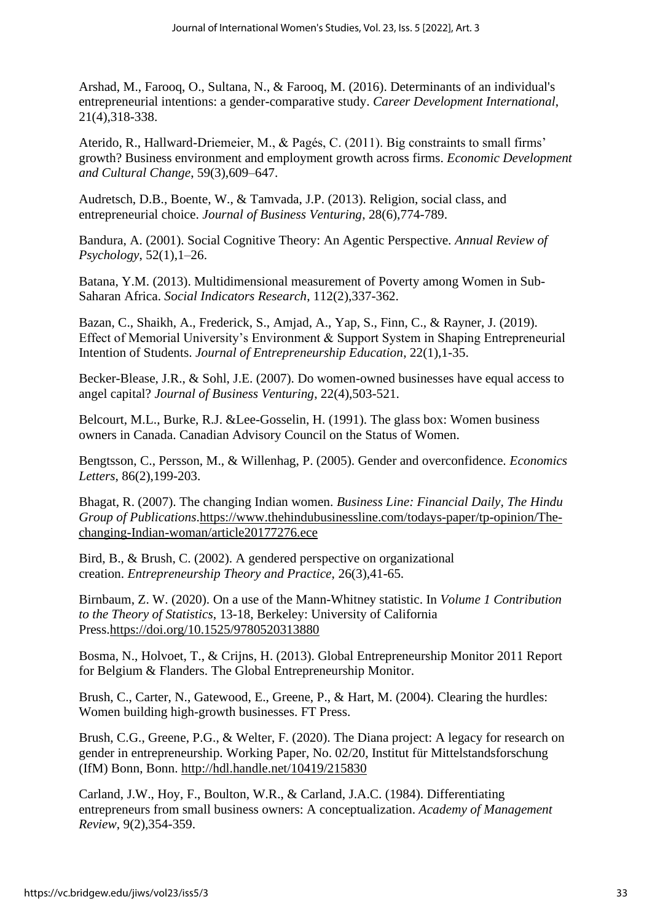Arshad, M., Farooq, O., Sultana, N., & Farooq, M. (2016). Determinants of an individual's entrepreneurial intentions: a gender-comparative study. *Career Development International*, 21(4),318-338.

Aterido, R., Hallward-Driemeier, M., & Pagés, C. (2011). Big constraints to small firms' growth? Business environment and employment growth across firms. *Economic Development and Cultural Change*, 59(3),609–647.

Audretsch, D.B., Boente, W., & Tamvada, J.P. (2013). Religion, social class, and entrepreneurial choice. *Journal of Business Venturing*, 28(6),774-789.

Bandura, A. (2001). Social Cognitive Theory: An Agentic Perspective*. Annual Review of Psychology*, 52(1),1–26.

Batana, Y.M. (2013). Multidimensional measurement of Poverty among Women in Sub-Saharan Africa. *Social Indicators Research*, 112(2),337-362.

Bazan, C., Shaikh, A., Frederick, S., Amjad, A., Yap, S., Finn, C., & Rayner, J. (2019). Effect of Memorial University's Environment & Support System in Shaping Entrepreneurial Intention of Students. *Journal of Entrepreneurship Education*, 22(1),1-35.

Becker-Blease, J.R., & Sohl, J.E. (2007). Do women-owned businesses have equal access to angel capital? *Journal of Business Venturing*, 22(4),503-521.

Belcourt, M.L., Burke, R.J. &Lee-Gosselin, H. (1991). The glass box: Women business owners in Canada. Canadian Advisory Council on the Status of Women.

Bengtsson, C., Persson, M., & Willenhag, P. (2005). Gender and overconfidence. *Economics Letters*, 86(2),199-203.

Bhagat, R. (2007). The changing Indian women. *Business Line: Financial Daily, The Hindu Group of Publications*[.https://www.thehindubusinessline.com/todays-paper/tp-opinion/The](https://www.thehindubusinessline.com/todays-paper/tp-opinion/The-changing-Indian-woman/article20177276.ece)[changing-Indian-woman/article20177276.ece](https://www.thehindubusinessline.com/todays-paper/tp-opinion/The-changing-Indian-woman/article20177276.ece)

Bird, B., & Brush, C. (2002). A gendered perspective on organizational creation. *Entrepreneurship Theory and Practice*, 26(3),41-65.

Birnbaum, Z. W. (2020). On a use of the Mann-Whitney statistic. In *Volume 1 Contribution to the Theory of Statistics*, 13-18, Berkeley: University of California Press[.https://doi.org/10.1525/9780520313880](https://doi.org/10.1525/9780520313880)

Bosma, N., Holvoet, T., & Crijns, H. (2013). Global Entrepreneurship Monitor 2011 Report for Belgium & Flanders. The Global Entrepreneurship Monitor.

Brush, C., Carter, N., Gatewood, E., Greene, P., & Hart, M. (2004). Clearing the hurdles: Women building high-growth businesses. FT Press.

Brush, C.G., Greene, P.G., & Welter, F. (2020). The Diana project: A legacy for research on gender in entrepreneurship. Working Paper, No. 02/20, Institut für Mittelstandsforschung (IfM) Bonn, Bonn.<http://hdl.handle.net/10419/215830>

Carland, J.W., Hoy, F., Boulton, W.R., & Carland, J.A.C. (1984). Differentiating entrepreneurs from small business owners: A conceptualization. *Academy of Management Review*, 9(2),354-359.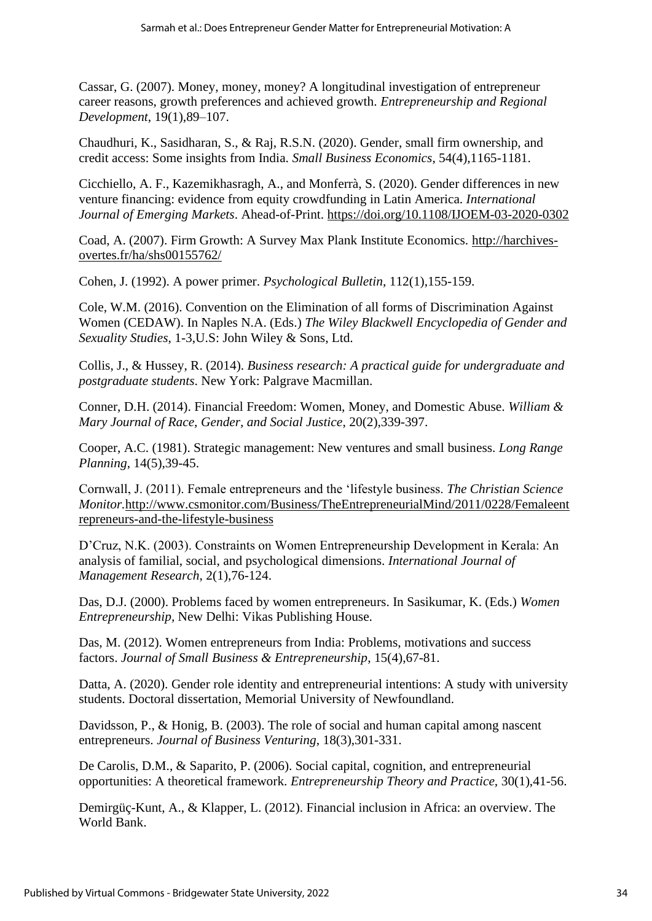Cassar, G. (2007). Money, money, money? A longitudinal investigation of entrepreneur career reasons, growth preferences and achieved growth. *Entrepreneurship and Regional Development*, 19(1),89–107.

Chaudhuri, K., Sasidharan, S., & Raj, R.S.N. (2020). Gender, small firm ownership, and credit access: Some insights from India. *Small Business Economics*, 54(4),1165-1181.

Cicchiello, A. F., Kazemikhasragh, A., and Monferrà, S. (2020). Gender differences in new venture financing: evidence from equity crowdfunding in Latin America. *International Journal of Emerging Markets*. Ahead-of-Print.<https://doi.org/10.1108/IJOEM-03-2020-0302>

Coad, A. (2007). Firm Growth: A Survey Max Plank Institute Economics. [http://harchives](http://harchives-overtes.fr/ha/shs00155762/)[overtes.fr/ha/shs00155762/](http://harchives-overtes.fr/ha/shs00155762/)

Cohen, J. (1992). A power primer. *Psychological Bulletin*, 112(1),155-159.

Cole, W.M. (2016). Convention on the Elimination of all forms of Discrimination Against Women (CEDAW). In Naples N.A. (Eds.) *The Wiley Blackwell Encyclopedia of Gender and Sexuality Studies*, 1-3,U.S: John Wiley & Sons, Ltd.

Collis, J., & Hussey, R. (2014). *Business research: A practical guide for undergraduate and postgraduate students*. New York: Palgrave Macmillan.

Conner, D.H. (2014). Financial Freedom: Women, Money, and Domestic Abuse. *William & Mary Journal of Race, Gender, and Social Justice*, 20(2),339-397.

Cooper, A.C. (1981). Strategic management: New ventures and small business. *Long Range Planning*, 14(5),39-45.

Cornwall, J. (2011). Female entrepreneurs and the 'lifestyle business. *The Christian Science Monitor.*[http://www.csmonitor.com/Business/TheEntrepreneurialMind/2011/0228/Femaleent](http://www.csmonitor.com/Business/TheEntrepreneurialMind/2011/0228/Femaleentrepreneurs-and-the-lifestyle-business) [repreneurs-and-the-lifestyle-business](http://www.csmonitor.com/Business/TheEntrepreneurialMind/2011/0228/Femaleentrepreneurs-and-the-lifestyle-business)

D'Cruz, N.K. (2003). Constraints on Women Entrepreneurship Development in Kerala: An analysis of familial, social, and psychological dimensions. *International Journal of Management Research*, 2(1),76-124.

Das, D.J. (2000). Problems faced by women entrepreneurs. In Sasikumar, K. (Eds.) *Women Entrepreneurship,* New Delhi: Vikas Publishing House.

Das, M. (2012). Women entrepreneurs from India: Problems, motivations and success factors. *Journal of Small Business & Entrepreneurship*, 15(4),67-81.

Datta, A. (2020). Gender role identity and entrepreneurial intentions: A study with university students. Doctoral dissertation, Memorial University of Newfoundland.

Davidsson, P., & Honig, B. (2003). The role of social and human capital among nascent entrepreneurs. *Journal of Business Venturing*, 18(3),301-331.

De Carolis, D.M., & Saparito, P. (2006). Social capital, cognition, and entrepreneurial opportunities: A theoretical framework. *Entrepreneurship Theory and Practice,* 30(1),41-56.

Demirgüç-Kunt, A., & Klapper, L. (2012). Financial inclusion in Africa: an overview. The World Bank.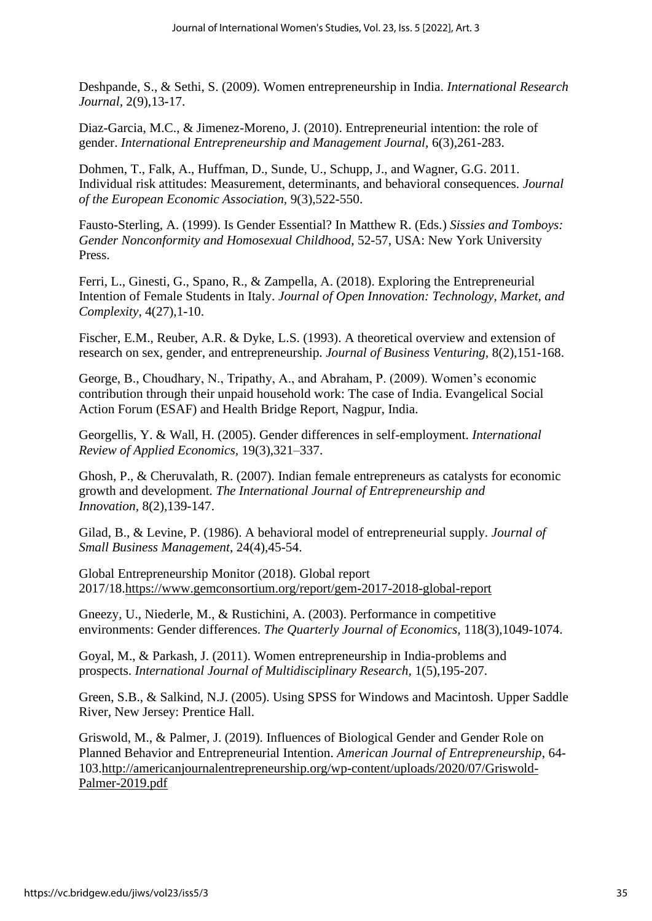Deshpande, S., & Sethi, S. (2009). Women entrepreneurship in India. *International Research Journal,* 2(9),13-17.

Diaz-Garcia, M.C., & Jimenez-Moreno, J. (2010). Entrepreneurial intention: the role of gender. *International Entrepreneurship and Management Journal,* 6(3),261-283.

Dohmen, T., Falk, A., Huffman, D., Sunde, U., Schupp, J., and Wagner, G.G. 2011. Individual risk attitudes: Measurement, determinants, and behavioral consequences. *Journal of the European Economic Association,* 9(3),522-550.

Fausto-Sterling, A. (1999). Is Gender Essential? In Matthew R. (Eds.) *Sissies and Tomboys: Gender Nonconformity and Homosexual Childhood*, 52-57, USA: New York University Press.

Ferri, L., Ginesti, G., Spano, R., & Zampella, A. (2018). Exploring the Entrepreneurial Intention of Female Students in Italy. *Journal of Open Innovation: Technology, Market, and Complexity,* 4(27),1-10.

Fischer, E.M., Reuber, A.R. & Dyke, L.S. (1993). A theoretical overview and extension of research on sex, gender, and entrepreneurship. *Journal of Business Venturing,* 8(2),151-168.

George, B., Choudhary, N., Tripathy, A., and Abraham, P. (2009). Women's economic contribution through their unpaid household work: The case of India. Evangelical Social Action Forum (ESAF) and Health Bridge Report, Nagpur, India.

Georgellis, Y. & Wall, H. (2005). Gender differences in self-employment. *International Review of Applied Economics,* 19(3),321–337.

Ghosh, P., & Cheruvalath, R. (2007). Indian female entrepreneurs as catalysts for economic growth and development. *The International Journal of Entrepreneurship and Innovation,* 8(2),139-147.

Gilad, B., & Levine, P. (1986). A behavioral model of entrepreneurial supply. *Journal of Small Business Management*, 24(4),45-54.

Global Entrepreneurship Monitor (2018). Global report 2017/18[.https://www.gemconsortium.org/report/gem-2017-2018-global-report](https://www.gemconsortium.org/report/gem-2017-2018-global-report)

Gneezy, U., Niederle, M., & Rustichini, A. (2003). Performance in competitive environments: Gender differences. *The Quarterly Journal of Economics,* 118(3),1049-1074.

Goyal, M., & Parkash, J. (2011). Women entrepreneurship in India-problems and prospects. *International Journal of Multidisciplinary Research,* 1(5),195-207.

Green, S.B., & Salkind, N.J. (2005). Using SPSS for Windows and Macintosh. Upper Saddle River, New Jersey: Prentice Hall.

Griswold, M., & Palmer, J. (2019). Influences of Biological Gender and Gender Role on Planned Behavior and Entrepreneurial Intention. *American Journal of Entrepreneurship*, 64- 103[.http://americanjournalentrepreneurship.org/wp-content/uploads/2020/07/Griswold-](http://americanjournalentrepreneurship.org/wp-content/uploads/2020/07/Griswold-Palmer-2019.pdf)[Palmer-2019.pdf](http://americanjournalentrepreneurship.org/wp-content/uploads/2020/07/Griswold-Palmer-2019.pdf)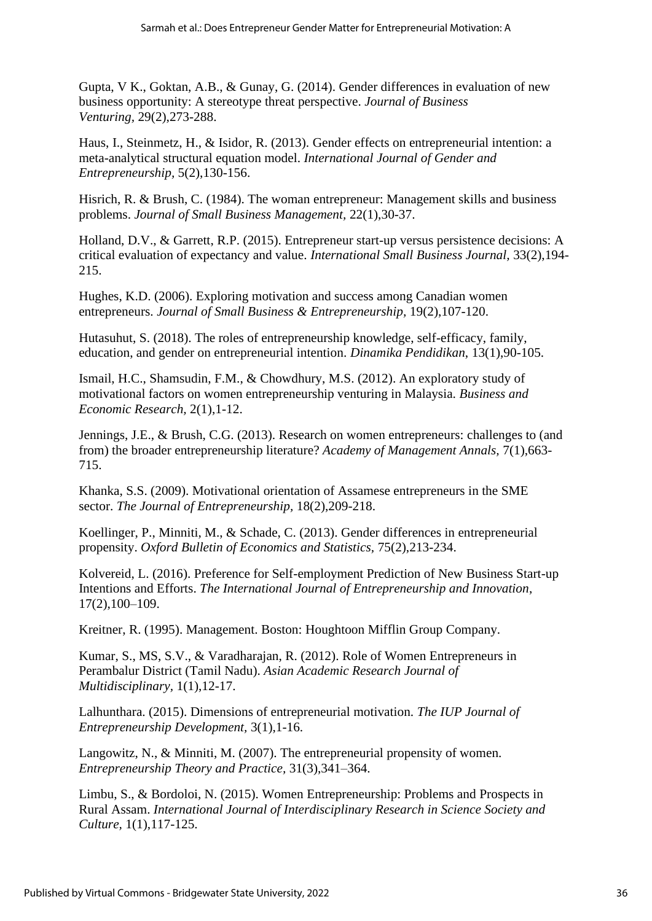Gupta, V K., Goktan, A.B., & Gunay, G. (2014). Gender differences in evaluation of new business opportunity: A stereotype threat perspective. *Journal of Business Venturing,* 29(2),273-288.

Haus, I., Steinmetz, H., & Isidor, R. (2013). Gender effects on entrepreneurial intention: a meta-analytical structural equation model. *International Journal of Gender and Entrepreneurship,* 5(2),130-156.

Hisrich, R. & Brush, C. (1984). The woman entrepreneur: Management skills and business problems. *Journal of Small Business Management,* 22(1),30-37.

Holland, D.V., & Garrett, R.P. (2015). Entrepreneur start-up versus persistence decisions: A critical evaluation of expectancy and value. *International Small Business Journal,* 33(2),194- 215.

Hughes, K.D. (2006). Exploring motivation and success among Canadian women entrepreneurs. *Journal of Small Business & Entrepreneurship,* 19(2),107-120.

Hutasuhut, S. (2018). The roles of entrepreneurship knowledge, self-efficacy, family, education, and gender on entrepreneurial intention. *Dinamika Pendidikan*, 13(1),90-105.

Ismail, H.C., Shamsudin, F.M., & Chowdhury, M.S. (2012). An exploratory study of motivational factors on women entrepreneurship venturing in Malaysia. *Business and Economic Research,* 2(1),1-12.

Jennings, J.E., & Brush, C.G. (2013). Research on women entrepreneurs: challenges to (and from) the broader entrepreneurship literature? *Academy of Management Annals,* 7(1),663- 715.

Khanka, S.S. (2009). Motivational orientation of Assamese entrepreneurs in the SME sector. *The Journal of Entrepreneurship,* 18(2),209-218.

Koellinger, P., Minniti, M., & Schade, C. (2013). Gender differences in entrepreneurial propensity. *Oxford Bulletin of Economics and Statistics,* 75(2),213-234.

Kolvereid, L. (2016). Preference for Self-employment Prediction of New Business Start-up Intentions and Efforts. *The International Journal of Entrepreneurship and Innovation*, 17(2),100–109.

Kreitner, R. (1995). Management. Boston: Houghtoon Mifflin Group Company.

Kumar, S., MS, S.V., & Varadharajan, R. (2012). Role of Women Entrepreneurs in Perambalur District (Tamil Nadu). *Asian Academic Research Journal of Multidisciplinary,* 1(1),12-17.

Lalhunthara. (2015). Dimensions of entrepreneurial motivation. *The IUP Journal of Entrepreneurship Development,* 3(1),1-16.

Langowitz, N., & Minniti, M. (2007). The entrepreneurial propensity of women. *Entrepreneurship Theory and Practice,* 31(3),341–364.

Limbu, S., & Bordoloi, N. (2015). Women Entrepreneurship: Problems and Prospects in Rural Assam. *International Journal of Interdisciplinary Research in Science Society and Culture,* 1(1),117-125.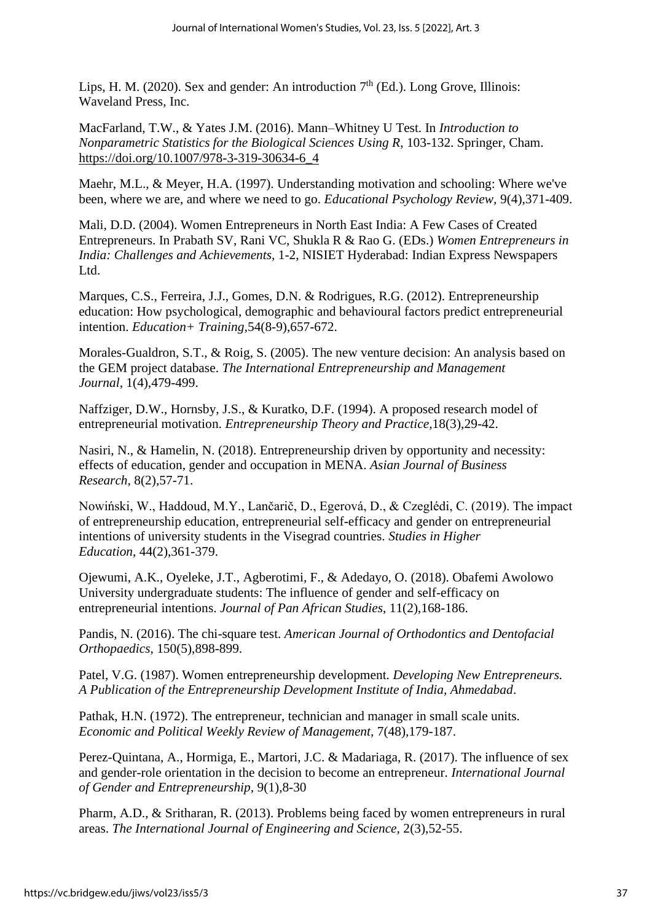Lips, H. M. (2020). Sex and gender: An introduction  $7<sup>th</sup>$  (Ed.). Long Grove, Illinois: Waveland Press, Inc.

MacFarland, T.W., & Yates J.M. (2016). Mann–Whitney U Test. In *Introduction to Nonparametric Statistics for the Biological Sciences Using R*, 103-132. Springer, Cham. [https://doi.org/10.1007/978-3-319-30634-6\\_4](https://doi.org/10.1007/978-3-319-30634-6_4)

Maehr, M.L., & Meyer, H.A. (1997). Understanding motivation and schooling: Where we've been, where we are, and where we need to go. *Educational Psychology Review,* 9(4),371-409.

Mali, D.D. (2004). Women Entrepreneurs in North East India: A Few Cases of Created Entrepreneurs. In Prabath SV, Rani VC, Shukla R & Rao G. (EDs.) *Women Entrepreneurs in India: Challenges and Achievements,* 1-2, NISIET Hyderabad: Indian Express Newspapers Ltd.

Marques, C.S., Ferreira, J.J., Gomes, D.N. & Rodrigues, R.G. (2012). Entrepreneurship education: How psychological, demographic and behavioural factors predict entrepreneurial intention. *Education+ Training,*54(8-9),657-672.

Morales-Gualdron, S.T., & Roig, S. (2005). The new venture decision: An analysis based on the GEM project database. *The International Entrepreneurship and Management Journal,* 1(4),479-499.

Naffziger, D.W., Hornsby, J.S., & Kuratko, D.F. (1994). A proposed research model of entrepreneurial motivation. *Entrepreneurship Theory and Practice,*18(3),29-42.

Nasiri, N., & Hamelin, N. (2018). Entrepreneurship driven by opportunity and necessity: effects of education, gender and occupation in MENA. *Asian Journal of Business Research*, 8(2),57-71.

Nowiński, W., Haddoud, M.Y., Lančarič, D., Egerová, D., & Czeglédi, C. (2019). The impact of entrepreneurship education, entrepreneurial self-efficacy and gender on entrepreneurial intentions of university students in the Visegrad countries. *Studies in Higher Education*, 44(2),361-379.

Ojewumi, A.K., Oyeleke, J.T., Agberotimi, F., & Adedayo, O. (2018). Obafemi Awolowo University undergraduate students: The influence of gender and self-efficacy on entrepreneurial intentions. *Journal of Pan African Studies*, 11(2),168-186.

Pandis, N. (2016). The chi-square test. *American Journal of Orthodontics and Dentofacial Orthopaedics*, 150(5),898-899.

Patel, V.G. (1987). Women entrepreneurship development. *Developing New Entrepreneurs. A Publication of the Entrepreneurship Development Institute of India, Ahmedabad*.

Pathak, H.N. (1972). The entrepreneur, technician and manager in small scale units. *Economic and Political Weekly Review of Management,* 7(48),179-187.

Perez-Quintana, A., Hormiga, E., Martori, J.C. & Madariaga, R. (2017). The influence of sex and gender-role orientation in the decision to become an entrepreneur. *International Journal of Gender and Entrepreneurship,* 9(1),8-30

Pharm, A.D., & Sritharan, R. (2013). Problems being faced by women entrepreneurs in rural areas. *The International Journal of Engineering and Science,* 2(3),52-55.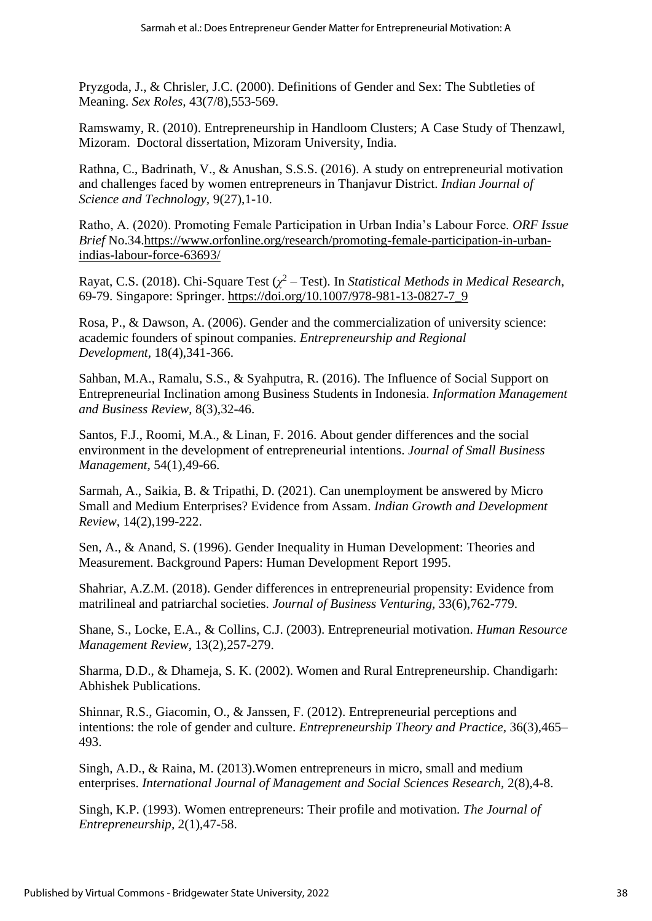Pryzgoda, J., & Chrisler, J.C. (2000). Definitions of Gender and Sex: The Subtleties of Meaning. *Sex Roles,* 43(7/8),553-569.

Ramswamy, R. (2010). Entrepreneurship in Handloom Clusters; A Case Study of Thenzawl, Mizoram. Doctoral dissertation, Mizoram University, India.

Rathna, C., Badrinath, V., & Anushan, S.S.S. (2016). A study on entrepreneurial motivation and challenges faced by women entrepreneurs in Thanjavur District. *Indian Journal of Science and Technology,* 9(27),1-10.

Ratho, A. (2020). Promoting Female Participation in Urban India's Labour Force. *ORF Issue Brief* No.34[.https://www.orfonline.org/research/promoting-female-participation-in-urban](https://www.orfonline.org/research/promoting-female-participation-in-urban-indias-labour-force-63693/)[indias-labour-force-63693/](https://www.orfonline.org/research/promoting-female-participation-in-urban-indias-labour-force-63693/)

Rayat, C.S. (2018). Chi-Square Test ( $\chi^2$  – Test). In *Statistical Methods in Medical Research*, 69-79. Singapore: Springer. [https://doi.org/10.1007/978-981-13-0827-7\\_9](https://doi.org/10.1007/978-981-13-0827-7_9)

Rosa, P., & Dawson, A. (2006). Gender and the commercialization of university science: academic founders of spinout companies. *Entrepreneurship and Regional Development,* 18(4),341-366.

Sahban, M.A., Ramalu, S.S., & Syahputra, R. (2016). The Influence of Social Support on Entrepreneurial Inclination among Business Students in Indonesia. *Information Management and Business Review*, 8(3),32-46.

Santos, F.J., Roomi, M.A., & Linan, F. 2016. About gender differences and the social environment in the development of entrepreneurial intentions. *Journal of Small Business Management,* 54(1),49-66.

Sarmah, A., Saikia, B. & Tripathi, D. (2021). Can unemployment be answered by Micro Small and Medium Enterprises? Evidence from Assam. *Indian Growth and Development Review*, 14(2),199-222.

Sen, A., & Anand, S. (1996). Gender Inequality in Human Development: Theories and Measurement. Background Papers: Human Development Report 1995.

Shahriar, A.Z.M. (2018). Gender differences in entrepreneurial propensity: Evidence from matrilineal and patriarchal societies. *Journal of Business Venturing,* 33(6),762-779.

Shane, S., Locke, E.A., & Collins, C.J. (2003). Entrepreneurial motivation. *Human Resource Management Review,* 13(2),257-279.

Sharma, D.D., & Dhameja, S. K. (2002). Women and Rural Entrepreneurship. Chandigarh: Abhishek Publications.

Shinnar, R.S., Giacomin, O., & Janssen, F. (2012). Entrepreneurial perceptions and intentions: the role of gender and culture. *Entrepreneurship Theory and Practice,* 36(3),465– 493.

Singh, A.D., & Raina, M. (2013).Women entrepreneurs in micro, small and medium enterprises. *International Journal of Management and Social Sciences Research,* 2(8),4-8.

Singh, K.P. (1993). Women entrepreneurs: Their profile and motivation. *The Journal of Entrepreneurship,* 2(1),47-58.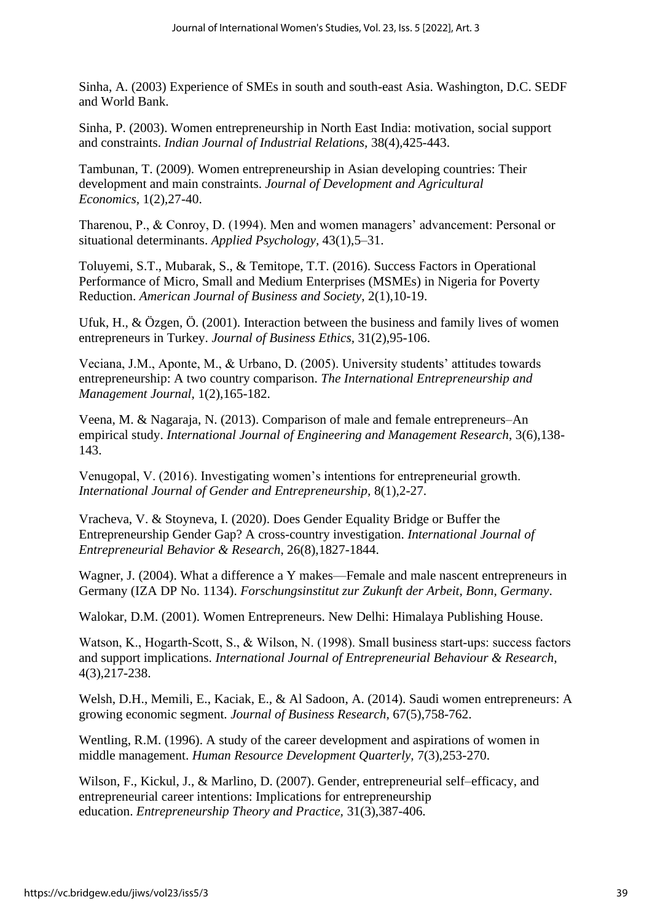Sinha, A. (2003) Experience of SMEs in south and south-east Asia. Washington, D.C. SEDF and World Bank.

Sinha, P. (2003). Women entrepreneurship in North East India: motivation, social support and constraints. *Indian Journal of Industrial Relations,* 38(4),425-443.

Tambunan, T. (2009). Women entrepreneurship in Asian developing countries: Their development and main constraints. *Journal of Development and Agricultural Economics,* 1(2),27-40.

Tharenou, P., & Conroy, D. (1994). Men and women managers' advancement: Personal or situational determinants. *Applied Psychology,* 43(1),5–31.

Toluyemi, S.T., Mubarak, S., & Temitope, T.T. (2016). Success Factors in Operational Performance of Micro, Small and Medium Enterprises (MSMEs) in Nigeria for Poverty Reduction. *American Journal of Business and Society*, 2(1),10-19.

Ufuk, H., & Özgen, Ö. (2001). Interaction between the business and family lives of women entrepreneurs in Turkey. *Journal of Business Ethics,* 31(2),95-106.

Veciana, J.M., Aponte, M., & Urbano, D. (2005). University students' attitudes towards entrepreneurship: A two country comparison. *The International Entrepreneurship and Management Journal,* 1(2),165-182.

Veena, M. & Nagaraja, N. (2013). Comparison of male and female entrepreneurs–An empirical study. *International Journal of Engineering and Management Research*, 3(6),138- 143.

Venugopal, V. (2016). Investigating women's intentions for entrepreneurial growth. *International Journal of Gender and Entrepreneurship,* 8(1),2-27.

Vracheva, V. & Stoyneva, I. (2020). Does Gender Equality Bridge or Buffer the Entrepreneurship Gender Gap? A cross-country investigation. *International Journal of Entrepreneurial Behavior & Research*, 26(8),1827-1844.

Wagner, J. (2004). What a difference a Y makes—Female and male nascent entrepreneurs in Germany (IZA DP No. 1134). *Forschungsinstitut zur Zukunft der Arbeit, Bonn, Germany*.

Walokar, D.M. (2001). Women Entrepreneurs. New Delhi: Himalaya Publishing House.

Watson, K., Hogarth-Scott, S., & Wilson, N. (1998). Small business start-ups: success factors and support implications. *International Journal of Entrepreneurial Behaviour & Research,* 4(3),217-238.

Welsh, D.H., Memili, E., Kaciak, E., & Al Sadoon, A. (2014). Saudi women entrepreneurs: A growing economic segment. *Journal of Business Research,* 67(5),758-762.

Wentling, R.M. (1996). A study of the career development and aspirations of women in middle management. *Human Resource Development Quarterly,* 7(3),253-270.

Wilson, F., Kickul, J., & Marlino, D. (2007). Gender, entrepreneurial self–efficacy, and entrepreneurial career intentions: Implications for entrepreneurship education. *Entrepreneurship Theory and Practice,* 31(3),387-406.